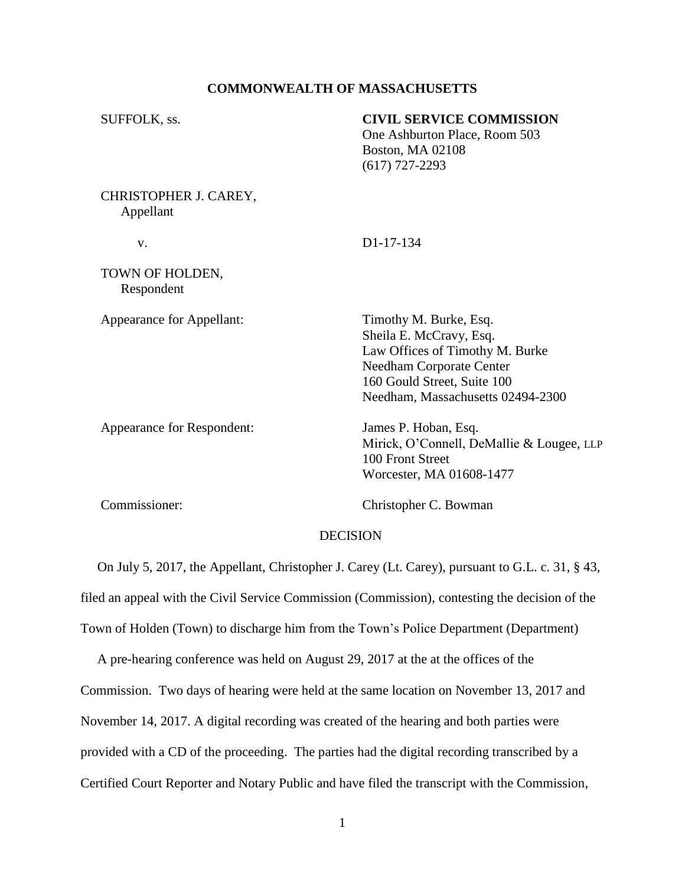## **COMMONWEALTH OF MASSACHUSETTS**

| SUFFOLK, ss.                       | <b>CIVIL SERVICE COMMISSION</b><br>One Ashburton Place, Room 503<br>Boston, MA 02108<br>$(617)$ 727-2293                                                                                    |
|------------------------------------|---------------------------------------------------------------------------------------------------------------------------------------------------------------------------------------------|
| CHRISTOPHER J. CAREY,<br>Appellant |                                                                                                                                                                                             |
| v.                                 | D <sub>1</sub> -17-134                                                                                                                                                                      |
| TOWN OF HOLDEN,<br>Respondent      |                                                                                                                                                                                             |
| Appearance for Appellant:          | Timothy M. Burke, Esq.<br>Sheila E. McCravy, Esq.<br>Law Offices of Timothy M. Burke<br><b>Needham Corporate Center</b><br>160 Gould Street, Suite 100<br>Needham, Massachusetts 02494-2300 |
| Appearance for Respondent:         | James P. Hoban, Esq.<br>Mirick, O'Connell, DeMallie & Lougee, LLP<br>100 Front Street<br>Worcester, MA 01608-1477                                                                           |
| Commissioner:                      | Christopher C. Bowman                                                                                                                                                                       |
|                                    | <b>DECISION</b>                                                                                                                                                                             |
|                                    |                                                                                                                                                                                             |

 On July 5, 2017, the Appellant, Christopher J. Carey (Lt. Carey), pursuant to G.L. c. 31, § 43, filed an appeal with the Civil Service Commission (Commission), contesting the decision of the Town of Holden (Town) to discharge him from the Town's Police Department (Department)

 A pre-hearing conference was held on August 29, 2017 at the at the offices of the Commission. Two days of hearing were held at the same location on November 13, 2017 and November 14, 2017. A digital recording was created of the hearing and both parties were provided with a CD of the proceeding. The parties had the digital recording transcribed by a Certified Court Reporter and Notary Public and have filed the transcript with the Commission,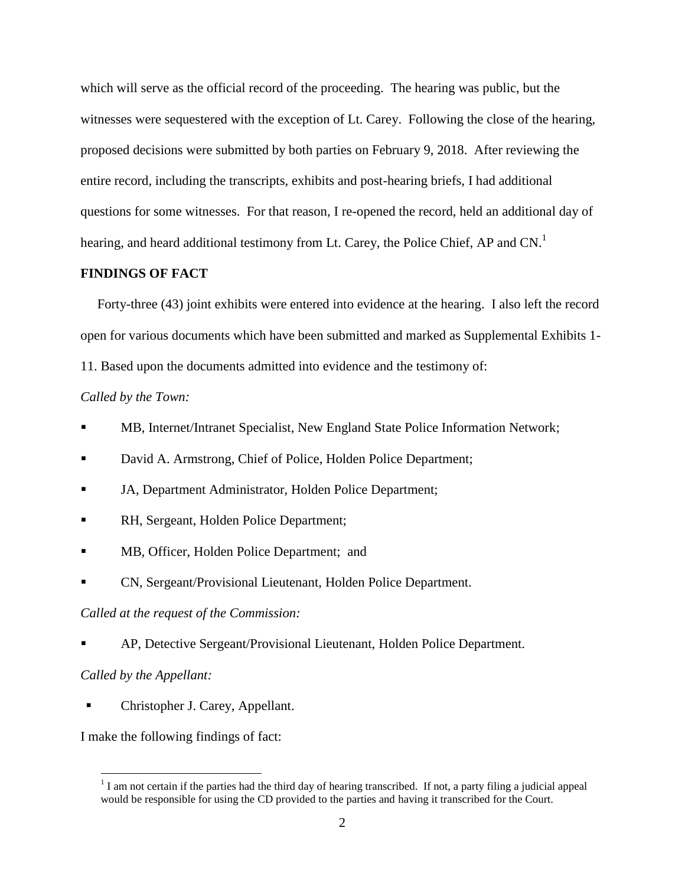which will serve as the official record of the proceeding. The hearing was public, but the witnesses were sequestered with the exception of Lt. Carey. Following the close of the hearing, proposed decisions were submitted by both parties on February 9, 2018. After reviewing the entire record, including the transcripts, exhibits and post-hearing briefs, I had additional questions for some witnesses. For that reason, I re-opened the record, held an additional day of hearing, and heard additional testimony from Lt. Carey, the Police Chief, AP and CN.<sup>1</sup>

### **FINDINGS OF FACT**

 Forty-three (43) joint exhibits were entered into evidence at the hearing. I also left the record open for various documents which have been submitted and marked as Supplemental Exhibits 1- 11. Based upon the documents admitted into evidence and the testimony of:

### *Called by the Town:*

- MB, Internet/Intranet Specialist, New England State Police Information Network;
- David A. Armstrong, Chief of Police, Holden Police Department;
- JA, Department Administrator, Holden Police Department;
- RH, Sergeant, Holden Police Department;
- MB, Officer, Holden Police Department; and
- CN, Sergeant/Provisional Lieutenant, Holden Police Department.

#### *Called at the request of the Commission:*

AP, Detective Sergeant/Provisional Lieutenant, Holden Police Department.

### *Called by the Appellant:*

 $\overline{a}$ 

Christopher J. Carey, Appellant.

I make the following findings of fact:

 $1$  I am not certain if the parties had the third day of hearing transcribed. If not, a party filing a judicial appeal would be responsible for using the CD provided to the parties and having it transcribed for the Court.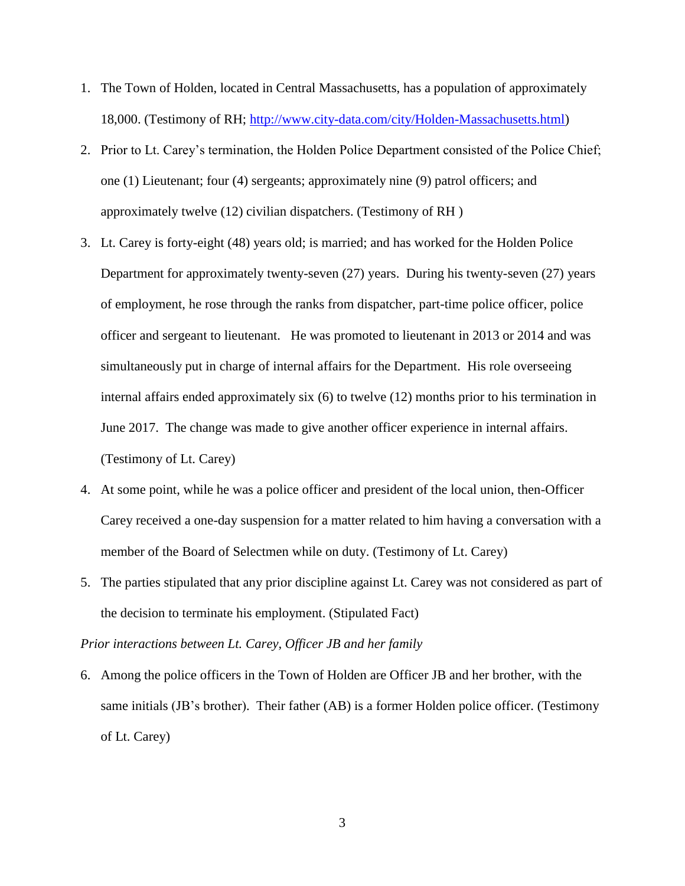- 1. The Town of Holden, located in Central Massachusetts, has a population of approximately 18,000. (Testimony of RH; [http://www.city-data.com/city/Holden-Massachusetts.html\)](http://www.city-data.com/city/Holden-Massachusetts.html)
- 2. Prior to Lt. Carey's termination, the Holden Police Department consisted of the Police Chief; one (1) Lieutenant; four (4) sergeants; approximately nine (9) patrol officers; and approximately twelve (12) civilian dispatchers. (Testimony of RH )
- 3. Lt. Carey is forty-eight (48) years old; is married; and has worked for the Holden Police Department for approximately twenty-seven (27) years. During his twenty-seven (27) years of employment, he rose through the ranks from dispatcher, part-time police officer, police officer and sergeant to lieutenant. He was promoted to lieutenant in 2013 or 2014 and was simultaneously put in charge of internal affairs for the Department. His role overseeing internal affairs ended approximately six (6) to twelve (12) months prior to his termination in June 2017. The change was made to give another officer experience in internal affairs. (Testimony of Lt. Carey)
- 4. At some point, while he was a police officer and president of the local union, then-Officer Carey received a one-day suspension for a matter related to him having a conversation with a member of the Board of Selectmen while on duty. (Testimony of Lt. Carey)
- 5. The parties stipulated that any prior discipline against Lt. Carey was not considered as part of the decision to terminate his employment. (Stipulated Fact)

*Prior interactions between Lt. Carey, Officer JB and her family*

6. Among the police officers in the Town of Holden are Officer JB and her brother, with the same initials (JB's brother). Their father (AB) is a former Holden police officer. (Testimony of Lt. Carey)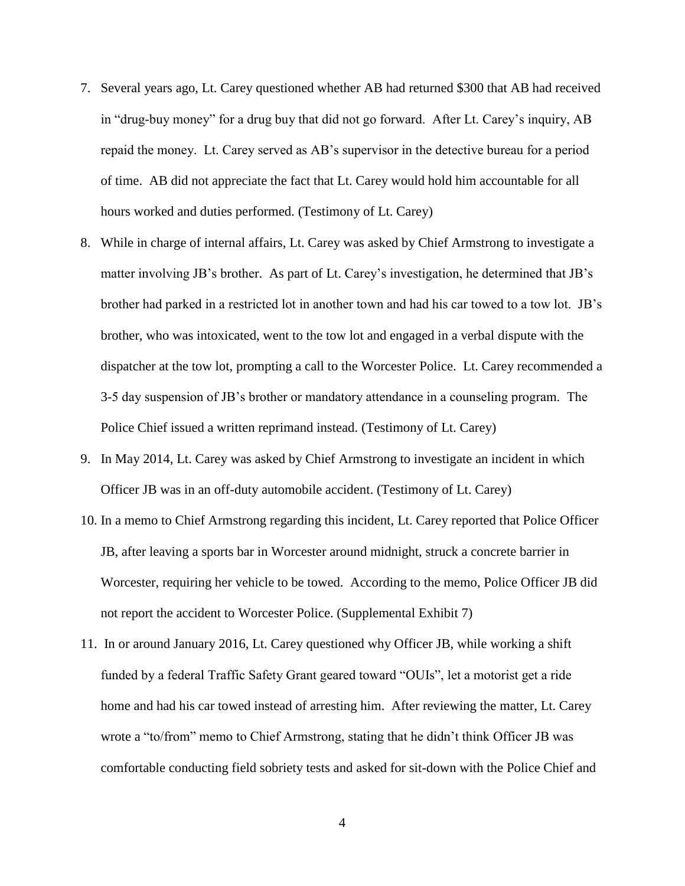- 7. Several years ago, Lt. Carey questioned whether AB had returned \$300 that AB had received in "drug-buy money" for a drug buy that did not go forward. After Lt. Carey's inquiry, AB repaid the money. Lt. Carey served as AB's supervisor in the detective bureau for a period of time. AB did not appreciate the fact that Lt. Carey would hold him accountable for all hours worked and duties performed. (Testimony of Lt. Carey)
- 8. While in charge of internal affairs, Lt. Carey was asked by Chief Armstrong to investigate a matter involving JB's brother. As part of Lt. Carey's investigation, he determined that JB's brother had parked in a restricted lot in another town and had his car towed to a tow lot. JB's brother, who was intoxicated, went to the tow lot and engaged in a verbal dispute with the dispatcher at the tow lot, prompting a call to the Worcester Police. Lt. Carey recommended a 3-5 day suspension of JB's brother or mandatory attendance in a counseling program. The Police Chief issued a written reprimand instead. (Testimony of Lt. Carey)
- 9. In May 2014, Lt. Carey was asked by Chief Armstrong to investigate an incident in which Officer JB was in an off-duty automobile accident. (Testimony of Lt. Carey)
- 10. In a memo to Chief Armstrong regarding this incident, Lt. Carey reported that Police Officer JB, after leaving a sports bar in Worcester around midnight, struck a concrete barrier in Worcester, requiring her vehicle to be towed. According to the memo, Police Officer JB did not report the accident to Worcester Police. (Supplemental Exhibit 7)
- 11. In or around January 2016, Lt. Carey questioned why Officer JB, while working a shift funded by a federal Traffic Safety Grant geared toward "OUIs", let a motorist get a ride home and had his car towed instead of arresting him. After reviewing the matter, Lt. Carey wrote a "to/from" memo to Chief Armstrong, stating that he didn't think Officer JB was comfortable conducting field sobriety tests and asked for sit-down with the Police Chief and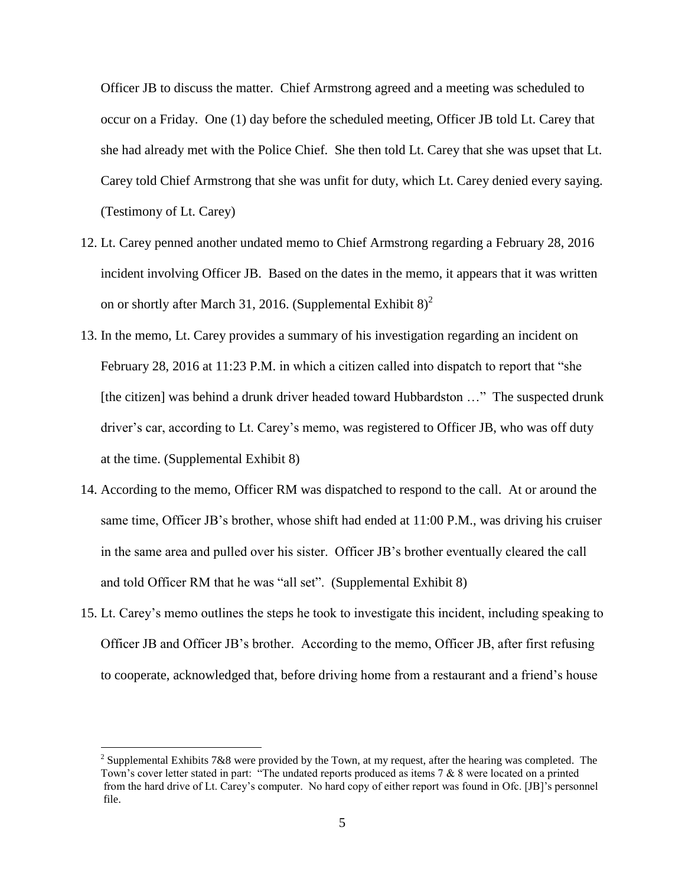Officer JB to discuss the matter. Chief Armstrong agreed and a meeting was scheduled to occur on a Friday. One (1) day before the scheduled meeting, Officer JB told Lt. Carey that she had already met with the Police Chief. She then told Lt. Carey that she was upset that Lt. Carey told Chief Armstrong that she was unfit for duty, which Lt. Carey denied every saying. (Testimony of Lt. Carey)

- 12. Lt. Carey penned another undated memo to Chief Armstrong regarding a February 28, 2016 incident involving Officer JB. Based on the dates in the memo, it appears that it was written on or shortly after March 31, 2016. (Supplemental Exhibit  $8)^2$
- 13. In the memo, Lt. Carey provides a summary of his investigation regarding an incident on February 28, 2016 at 11:23 P.M. in which a citizen called into dispatch to report that "she [the citizen] was behind a drunk driver headed toward Hubbardston ..." The suspected drunk driver's car, according to Lt. Carey's memo, was registered to Officer JB, who was off duty at the time. (Supplemental Exhibit 8)
- 14. According to the memo, Officer RM was dispatched to respond to the call. At or around the same time, Officer JB's brother, whose shift had ended at 11:00 P.M., was driving his cruiser in the same area and pulled over his sister. Officer JB's brother eventually cleared the call and told Officer RM that he was "all set". (Supplemental Exhibit 8)
- 15. Lt. Carey's memo outlines the steps he took to investigate this incident, including speaking to Officer JB and Officer JB's brother. According to the memo, Officer JB, after first refusing to cooperate, acknowledged that, before driving home from a restaurant and a friend's house

 $\overline{a}$ 

<sup>&</sup>lt;sup>2</sup> Supplemental Exhibits 7&8 were provided by the Town, at my request, after the hearing was completed. The Town's cover letter stated in part: "The undated reports produced as items 7 & 8 were located on a printed from the hard drive of Lt. Carey's computer. No hard copy of either report was found in Ofc. [JB]'s personnel file.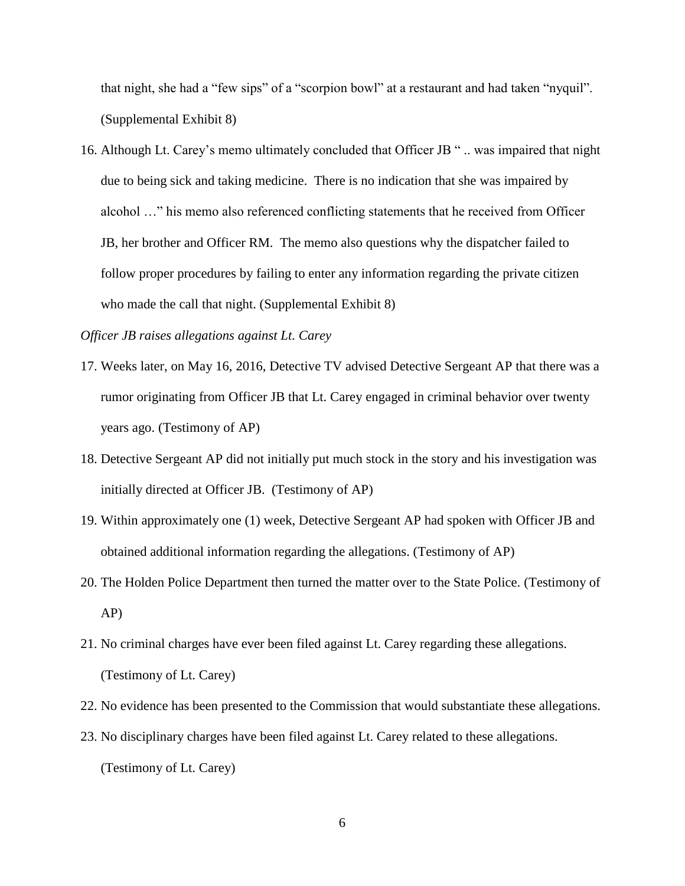that night, she had a "few sips" of a "scorpion bowl" at a restaurant and had taken "nyquil". (Supplemental Exhibit 8)

16. Although Lt. Carey's memo ultimately concluded that Officer JB " .. was impaired that night due to being sick and taking medicine. There is no indication that she was impaired by alcohol …" his memo also referenced conflicting statements that he received from Officer JB, her brother and Officer RM. The memo also questions why the dispatcher failed to follow proper procedures by failing to enter any information regarding the private citizen who made the call that night. (Supplemental Exhibit 8)

*Officer JB raises allegations against Lt. Carey*

- 17. Weeks later, on May 16, 2016, Detective TV advised Detective Sergeant AP that there was a rumor originating from Officer JB that Lt. Carey engaged in criminal behavior over twenty years ago. (Testimony of AP)
- 18. Detective Sergeant AP did not initially put much stock in the story and his investigation was initially directed at Officer JB. (Testimony of AP)
- 19. Within approximately one (1) week, Detective Sergeant AP had spoken with Officer JB and obtained additional information regarding the allegations. (Testimony of AP)
- 20. The Holden Police Department then turned the matter over to the State Police. (Testimony of AP)
- 21. No criminal charges have ever been filed against Lt. Carey regarding these allegations. (Testimony of Lt. Carey)
- 22. No evidence has been presented to the Commission that would substantiate these allegations.
- 23. No disciplinary charges have been filed against Lt. Carey related to these allegations. (Testimony of Lt. Carey)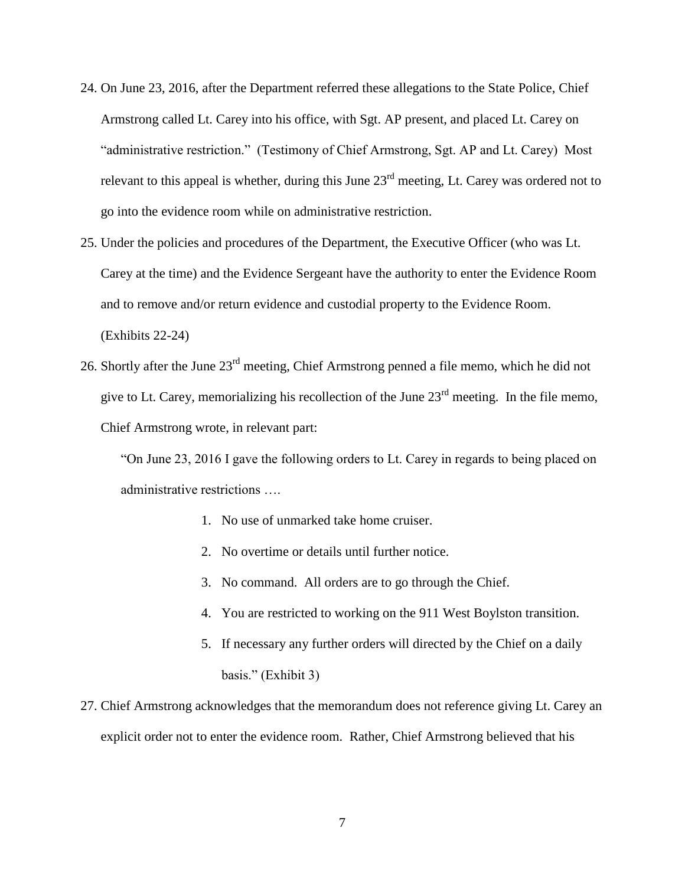- 24. On June 23, 2016, after the Department referred these allegations to the State Police, Chief Armstrong called Lt. Carey into his office, with Sgt. AP present, and placed Lt. Carey on "administrative restriction." (Testimony of Chief Armstrong, Sgt. AP and Lt. Carey) Most relevant to this appeal is whether, during this June  $23<sup>rd</sup>$  meeting, Lt. Carey was ordered not to go into the evidence room while on administrative restriction.
- 25. Under the policies and procedures of the Department, the Executive Officer (who was Lt. Carey at the time) and the Evidence Sergeant have the authority to enter the Evidence Room and to remove and/or return evidence and custodial property to the Evidence Room. (Exhibits 22-24)
- 26. Shortly after the June 23rd meeting, Chief Armstrong penned a file memo, which he did not give to Lt. Carey, memorializing his recollection of the June  $23<sup>rd</sup>$  meeting. In the file memo, Chief Armstrong wrote, in relevant part:

"On June 23, 2016 I gave the following orders to Lt. Carey in regards to being placed on administrative restrictions ….

- 1. No use of unmarked take home cruiser.
- 2. No overtime or details until further notice.
- 3. No command. All orders are to go through the Chief.
- 4. You are restricted to working on the 911 West Boylston transition.
- 5. If necessary any further orders will directed by the Chief on a daily basis." (Exhibit 3)
- 27. Chief Armstrong acknowledges that the memorandum does not reference giving Lt. Carey an explicit order not to enter the evidence room. Rather, Chief Armstrong believed that his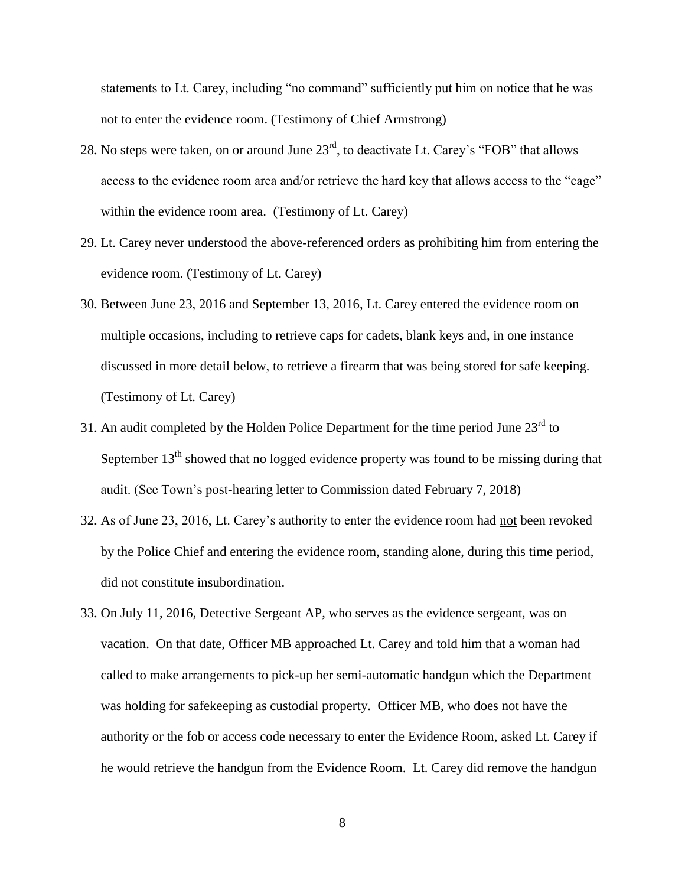statements to Lt. Carey, including "no command" sufficiently put him on notice that he was not to enter the evidence room. (Testimony of Chief Armstrong)

- 28. No steps were taken, on or around June  $23<sup>rd</sup>$ , to deactivate Lt. Carey's "FOB" that allows access to the evidence room area and/or retrieve the hard key that allows access to the "cage" within the evidence room area. (Testimony of Lt. Carey)
- 29. Lt. Carey never understood the above-referenced orders as prohibiting him from entering the evidence room. (Testimony of Lt. Carey)
- 30. Between June 23, 2016 and September 13, 2016, Lt. Carey entered the evidence room on multiple occasions, including to retrieve caps for cadets, blank keys and, in one instance discussed in more detail below, to retrieve a firearm that was being stored for safe keeping. (Testimony of Lt. Carey)
- 31. An audit completed by the Holden Police Department for the time period June  $23<sup>rd</sup>$  to September  $13<sup>th</sup>$  showed that no logged evidence property was found to be missing during that audit. (See Town's post-hearing letter to Commission dated February 7, 2018)
- 32. As of June 23, 2016, Lt. Carey's authority to enter the evidence room had not been revoked by the Police Chief and entering the evidence room, standing alone, during this time period, did not constitute insubordination.
- 33. On July 11, 2016, Detective Sergeant AP, who serves as the evidence sergeant, was on vacation. On that date, Officer MB approached Lt. Carey and told him that a woman had called to make arrangements to pick-up her semi-automatic handgun which the Department was holding for safekeeping as custodial property. Officer MB, who does not have the authority or the fob or access code necessary to enter the Evidence Room, asked Lt. Carey if he would retrieve the handgun from the Evidence Room. Lt. Carey did remove the handgun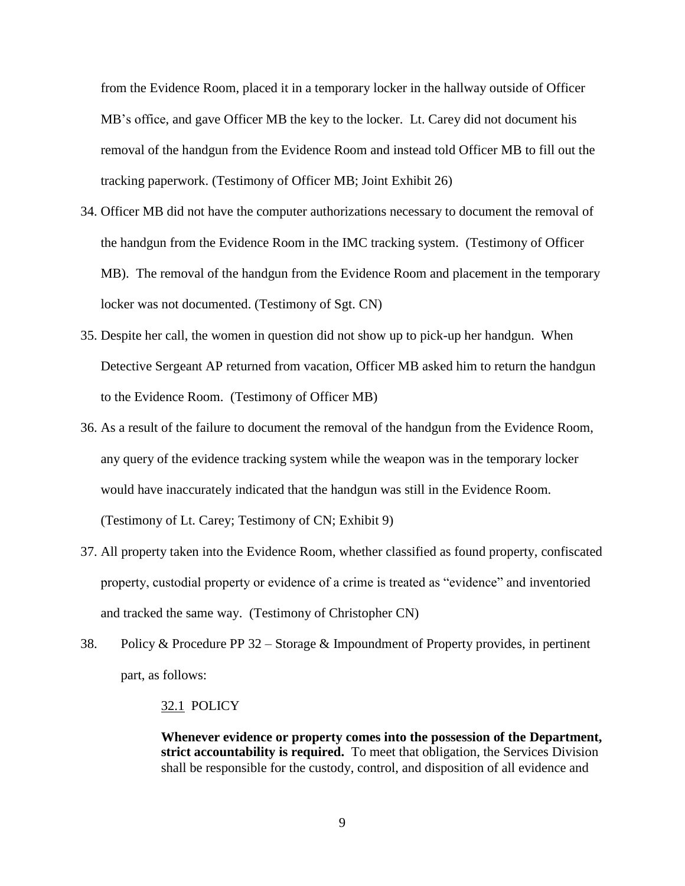from the Evidence Room, placed it in a temporary locker in the hallway outside of Officer MB's office, and gave Officer MB the key to the locker. Lt. Carey did not document his removal of the handgun from the Evidence Room and instead told Officer MB to fill out the tracking paperwork. (Testimony of Officer MB; Joint Exhibit 26)

- 34. Officer MB did not have the computer authorizations necessary to document the removal of the handgun from the Evidence Room in the IMC tracking system. (Testimony of Officer MB). The removal of the handgun from the Evidence Room and placement in the temporary locker was not documented. (Testimony of Sgt. CN)
- 35. Despite her call, the women in question did not show up to pick-up her handgun. When Detective Sergeant AP returned from vacation, Officer MB asked him to return the handgun to the Evidence Room. (Testimony of Officer MB)
- 36. As a result of the failure to document the removal of the handgun from the Evidence Room, any query of the evidence tracking system while the weapon was in the temporary locker would have inaccurately indicated that the handgun was still in the Evidence Room. (Testimony of Lt. Carey; Testimony of CN; Exhibit 9)
- 37. All property taken into the Evidence Room, whether classified as found property, confiscated property, custodial property or evidence of a crime is treated as "evidence" and inventoried and tracked the same way. (Testimony of Christopher CN)
- 38. Policy & Procedure PP 32 Storage & Impoundment of Property provides, in pertinent part, as follows:

#### 32.1 POLICY

**Whenever evidence or property comes into the possession of the Department, strict accountability is required.** To meet that obligation, the Services Division shall be responsible for the custody, control, and disposition of all evidence and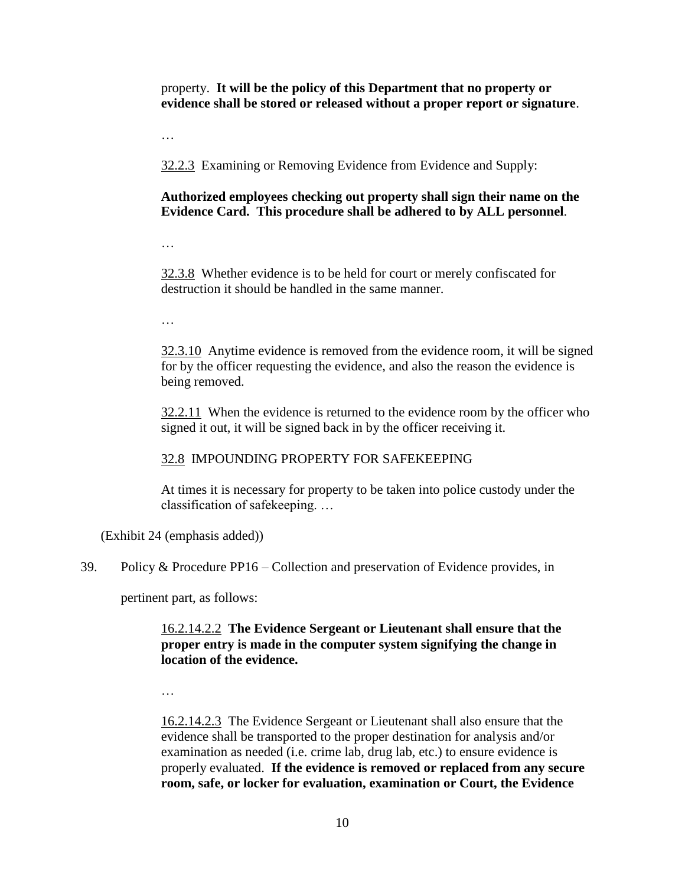property. **It will be the policy of this Department that no property or evidence shall be stored or released without a proper report or signature**.

…

32.2.3 Examining or Removing Evidence from Evidence and Supply:

# **Authorized employees checking out property shall sign their name on the Evidence Card. This procedure shall be adhered to by ALL personnel**.

…

32.3.8 Whether evidence is to be held for court or merely confiscated for destruction it should be handled in the same manner.

…

32.3.10 Anytime evidence is removed from the evidence room, it will be signed for by the officer requesting the evidence, and also the reason the evidence is being removed.

32.2.11 When the evidence is returned to the evidence room by the officer who signed it out, it will be signed back in by the officer receiving it.

# 32.8 IMPOUNDING PROPERTY FOR SAFEKEEPING

At times it is necessary for property to be taken into police custody under the classification of safekeeping. …

(Exhibit 24 (emphasis added))

39. Policy & Procedure PP16 – Collection and preservation of Evidence provides, in

pertinent part, as follows:

# 16.2.14.2.2 **The Evidence Sergeant or Lieutenant shall ensure that the proper entry is made in the computer system signifying the change in location of the evidence.**

…

16.2.14.2.3 The Evidence Sergeant or Lieutenant shall also ensure that the evidence shall be transported to the proper destination for analysis and/or examination as needed (i.e. crime lab, drug lab, etc.) to ensure evidence is properly evaluated. **If the evidence is removed or replaced from any secure room, safe, or locker for evaluation, examination or Court, the Evidence**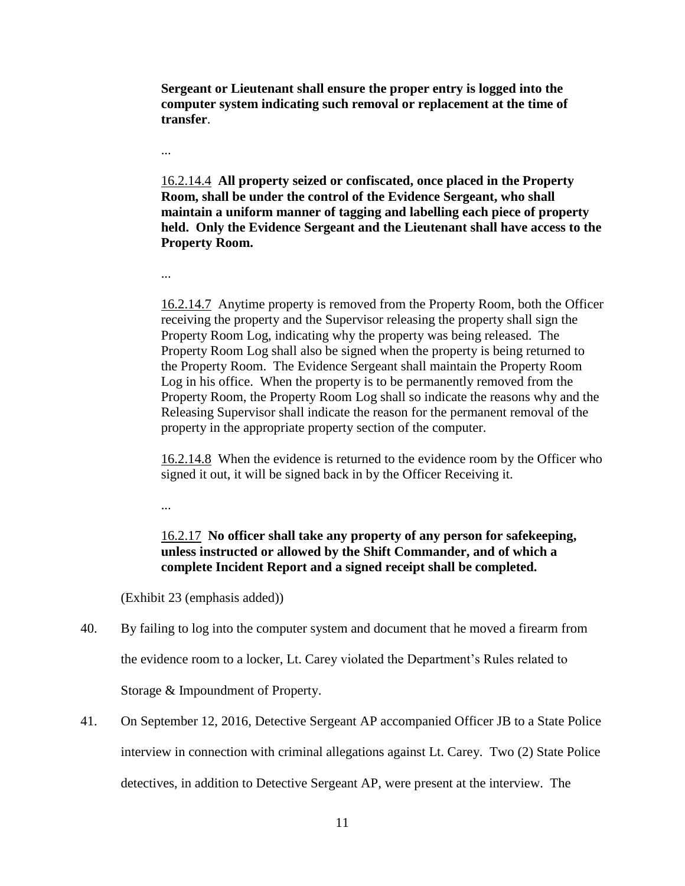**Sergeant or Lieutenant shall ensure the proper entry is logged into the computer system indicating such removal or replacement at the time of transfer**.

16.2.14.4 **All property seized or confiscated, once placed in the Property Room, shall be under the control of the Evidence Sergeant, who shall maintain a uniform manner of tagging and labelling each piece of property held. Only the Evidence Sergeant and the Lieutenant shall have access to the Property Room.**

...

...

16.2.14.7 Anytime property is removed from the Property Room, both the Officer receiving the property and the Supervisor releasing the property shall sign the Property Room Log, indicating why the property was being released. The Property Room Log shall also be signed when the property is being returned to the Property Room. The Evidence Sergeant shall maintain the Property Room Log in his office. When the property is to be permanently removed from the Property Room, the Property Room Log shall so indicate the reasons why and the Releasing Supervisor shall indicate the reason for the permanent removal of the property in the appropriate property section of the computer.

16.2.14.8 When the evidence is returned to the evidence room by the Officer who signed it out, it will be signed back in by the Officer Receiving it.

...

16.2.17 **No officer shall take any property of any person for safekeeping, unless instructed or allowed by the Shift Commander, and of which a complete Incident Report and a signed receipt shall be completed.**

(Exhibit 23 (emphasis added))

- 40. By failing to log into the computer system and document that he moved a firearm from the evidence room to a locker, Lt. Carey violated the Department's Rules related to Storage & Impoundment of Property.
- 41. On September 12, 2016, Detective Sergeant AP accompanied Officer JB to a State Police interview in connection with criminal allegations against Lt. Carey. Two (2) State Police detectives, in addition to Detective Sergeant AP, were present at the interview. The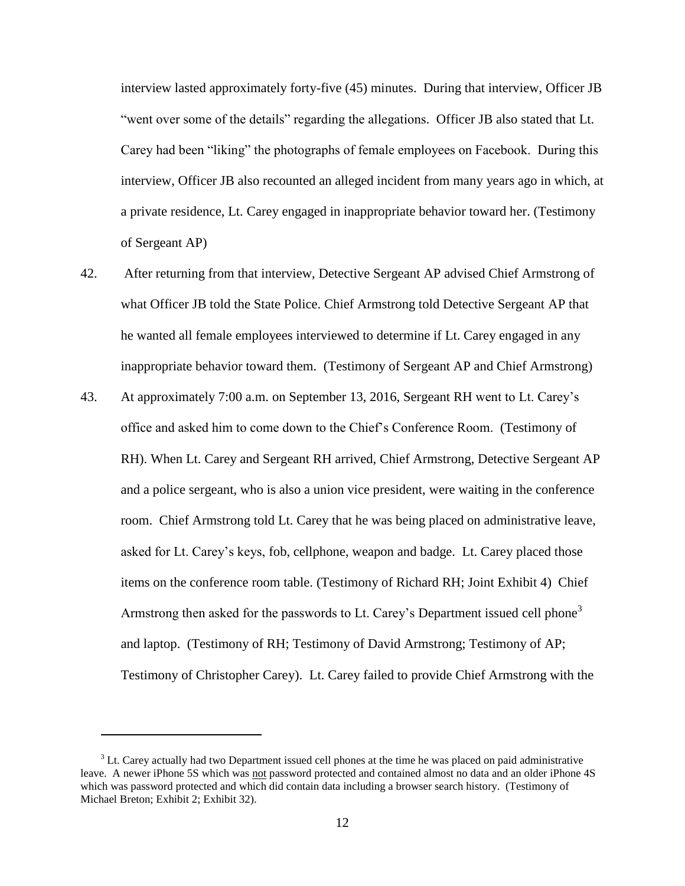interview lasted approximately forty-five (45) minutes. During that interview, Officer JB "went over some of the details" regarding the allegations. Officer JB also stated that Lt. Carey had been "liking" the photographs of female employees on Facebook. During this interview, Officer JB also recounted an alleged incident from many years ago in which, at a private residence, Lt. Carey engaged in inappropriate behavior toward her. (Testimony of Sergeant AP)

- 42. After returning from that interview, Detective Sergeant AP advised Chief Armstrong of what Officer JB told the State Police. Chief Armstrong told Detective Sergeant AP that he wanted all female employees interviewed to determine if Lt. Carey engaged in any inappropriate behavior toward them. (Testimony of Sergeant AP and Chief Armstrong)
- 43. At approximately 7:00 a.m. on September 13, 2016, Sergeant RH went to Lt. Carey's office and asked him to come down to the Chief's Conference Room. (Testimony of RH). When Lt. Carey and Sergeant RH arrived, Chief Armstrong, Detective Sergeant AP and a police sergeant, who is also a union vice president, were waiting in the conference room. Chief Armstrong told Lt. Carey that he was being placed on administrative leave, asked for Lt. Carey's keys, fob, cellphone, weapon and badge. Lt. Carey placed those items on the conference room table. (Testimony of Richard RH; Joint Exhibit 4) Chief Armstrong then asked for the passwords to Lt. Carey's Department issued cell phone<sup>3</sup> and laptop. (Testimony of RH; Testimony of David Armstrong; Testimony of AP; Testimony of Christopher Carey). Lt. Carey failed to provide Chief Armstrong with the

 $\overline{a}$ 

 $3$  Lt. Carey actually had two Department issued cell phones at the time he was placed on paid administrative leave. A newer iPhone 5S which was not password protected and contained almost no data and an older iPhone 4S which was password protected and which did contain data including a browser search history. (Testimony of Michael Breton; Exhibit 2; Exhibit 32).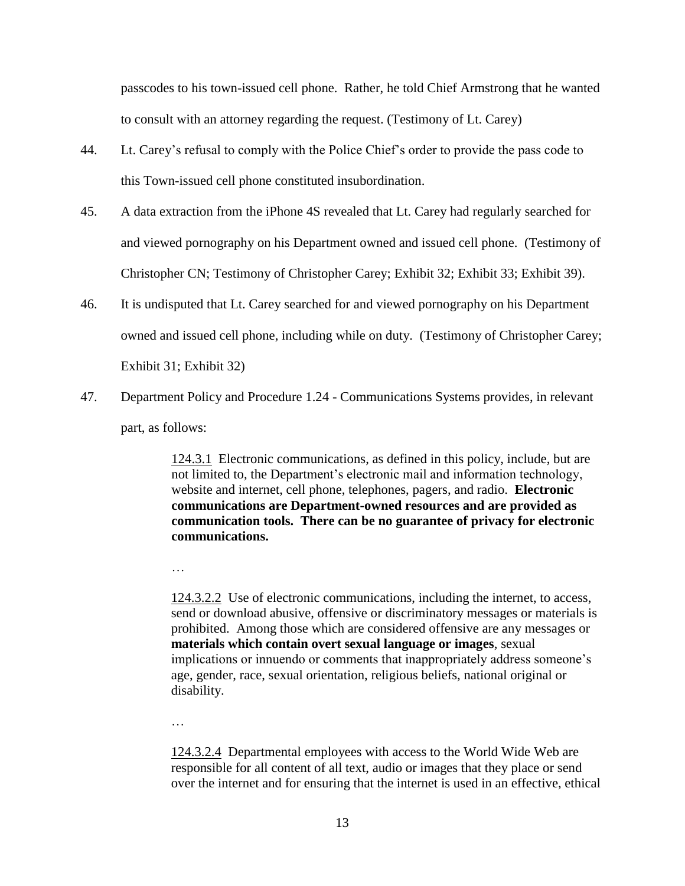passcodes to his town-issued cell phone. Rather, he told Chief Armstrong that he wanted to consult with an attorney regarding the request. (Testimony of Lt. Carey)

- 44. Lt. Carey's refusal to comply with the Police Chief's order to provide the pass code to this Town-issued cell phone constituted insubordination.
- 45. A data extraction from the iPhone 4S revealed that Lt. Carey had regularly searched for and viewed pornography on his Department owned and issued cell phone. (Testimony of Christopher CN; Testimony of Christopher Carey; Exhibit 32; Exhibit 33; Exhibit 39).
- 46. It is undisputed that Lt. Carey searched for and viewed pornography on his Department owned and issued cell phone, including while on duty. (Testimony of Christopher Carey; Exhibit 31; Exhibit 32)
- 47. Department Policy and Procedure 1.24 Communications Systems provides, in relevant part, as follows:

124.3.1 Electronic communications, as defined in this policy, include, but are not limited to, the Department's electronic mail and information technology, website and internet, cell phone, telephones, pagers, and radio. **Electronic communications are Department-owned resources and are provided as communication tools. There can be no guarantee of privacy for electronic communications.**

…

124.3.2.2 Use of electronic communications, including the internet, to access, send or download abusive, offensive or discriminatory messages or materials is prohibited. Among those which are considered offensive are any messages or **materials which contain overt sexual language or images**, sexual implications or innuendo or comments that inappropriately address someone's age, gender, race, sexual orientation, religious beliefs, national original or disability.

…

124.3.2.4 Departmental employees with access to the World Wide Web are responsible for all content of all text, audio or images that they place or send over the internet and for ensuring that the internet is used in an effective, ethical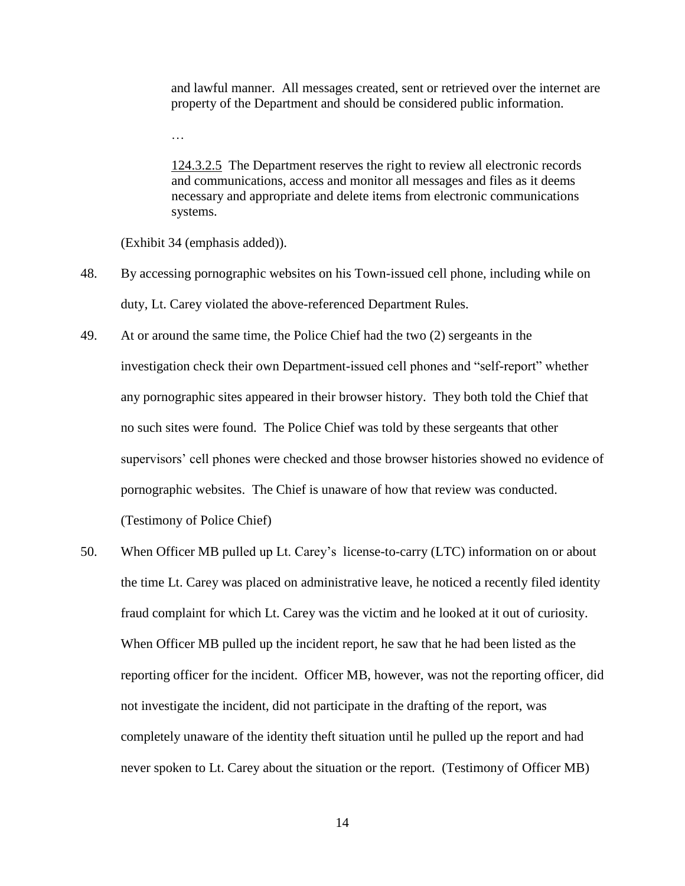and lawful manner. All messages created, sent or retrieved over the internet are property of the Department and should be considered public information.

124.3.2.5 The Department reserves the right to review all electronic records and communications, access and monitor all messages and files as it deems necessary and appropriate and delete items from electronic communications systems.

(Exhibit 34 (emphasis added)).

…

- 48. By accessing pornographic websites on his Town-issued cell phone, including while on duty, Lt. Carey violated the above-referenced Department Rules.
- 49. At or around the same time, the Police Chief had the two (2) sergeants in the investigation check their own Department-issued cell phones and "self-report" whether any pornographic sites appeared in their browser history. They both told the Chief that no such sites were found. The Police Chief was told by these sergeants that other supervisors' cell phones were checked and those browser histories showed no evidence of pornographic websites. The Chief is unaware of how that review was conducted. (Testimony of Police Chief)
- 50. When Officer MB pulled up Lt. Carey's license-to-carry (LTC) information on or about the time Lt. Carey was placed on administrative leave, he noticed a recently filed identity fraud complaint for which Lt. Carey was the victim and he looked at it out of curiosity. When Officer MB pulled up the incident report, he saw that he had been listed as the reporting officer for the incident. Officer MB, however, was not the reporting officer, did not investigate the incident, did not participate in the drafting of the report, was completely unaware of the identity theft situation until he pulled up the report and had never spoken to Lt. Carey about the situation or the report. (Testimony of Officer MB)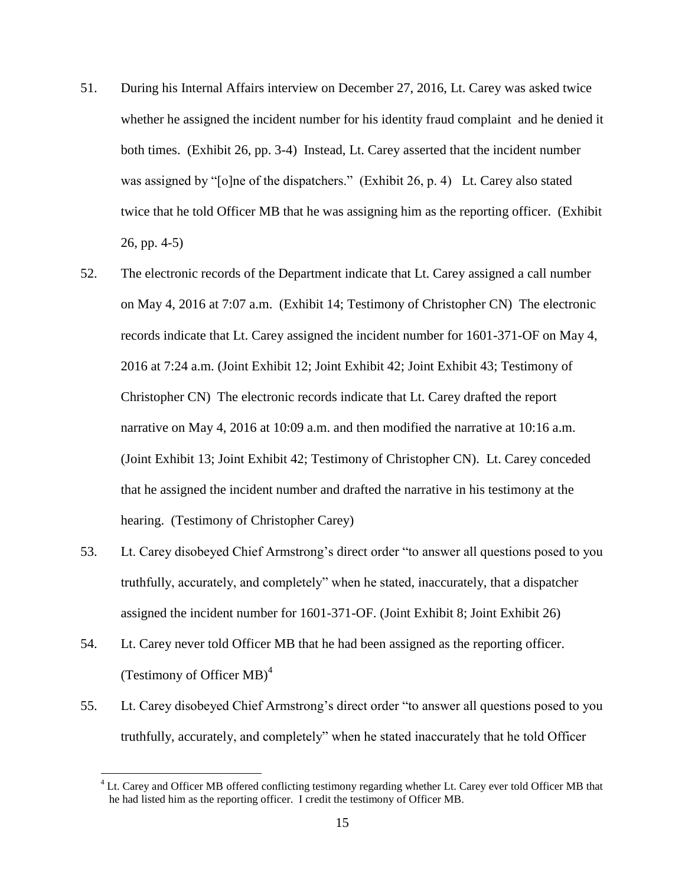- 51. During his Internal Affairs interview on December 27, 2016, Lt. Carey was asked twice whether he assigned the incident number for his identity fraud complaint and he denied it both times. (Exhibit 26, pp. 3-4) Instead, Lt. Carey asserted that the incident number was assigned by "[o]ne of the dispatchers." (Exhibit 26, p. 4) Lt. Carey also stated twice that he told Officer MB that he was assigning him as the reporting officer. (Exhibit 26, pp. 4-5)
- 52. The electronic records of the Department indicate that Lt. Carey assigned a call number on May 4, 2016 at 7:07 a.m. (Exhibit 14; Testimony of Christopher CN) The electronic records indicate that Lt. Carey assigned the incident number for 1601-371-OF on May 4, 2016 at 7:24 a.m. (Joint Exhibit 12; Joint Exhibit 42; Joint Exhibit 43; Testimony of Christopher CN) The electronic records indicate that Lt. Carey drafted the report narrative on May 4, 2016 at 10:09 a.m. and then modified the narrative at 10:16 a.m. (Joint Exhibit 13; Joint Exhibit 42; Testimony of Christopher CN). Lt. Carey conceded that he assigned the incident number and drafted the narrative in his testimony at the hearing. (Testimony of Christopher Carey)
- 53. Lt. Carey disobeyed Chief Armstrong's direct order "to answer all questions posed to you truthfully, accurately, and completely" when he stated, inaccurately, that a dispatcher assigned the incident number for 1601-371-OF. (Joint Exhibit 8; Joint Exhibit 26)
- 54. Lt. Carey never told Officer MB that he had been assigned as the reporting officer. (Testimony of Officer  $MB$ )<sup>4</sup>

 $\overline{a}$ 

55. Lt. Carey disobeyed Chief Armstrong's direct order "to answer all questions posed to you truthfully, accurately, and completely" when he stated inaccurately that he told Officer

 $4$  Lt. Carey and Officer MB offered conflicting testimony regarding whether Lt. Carey ever told Officer MB that he had listed him as the reporting officer. I credit the testimony of Officer MB.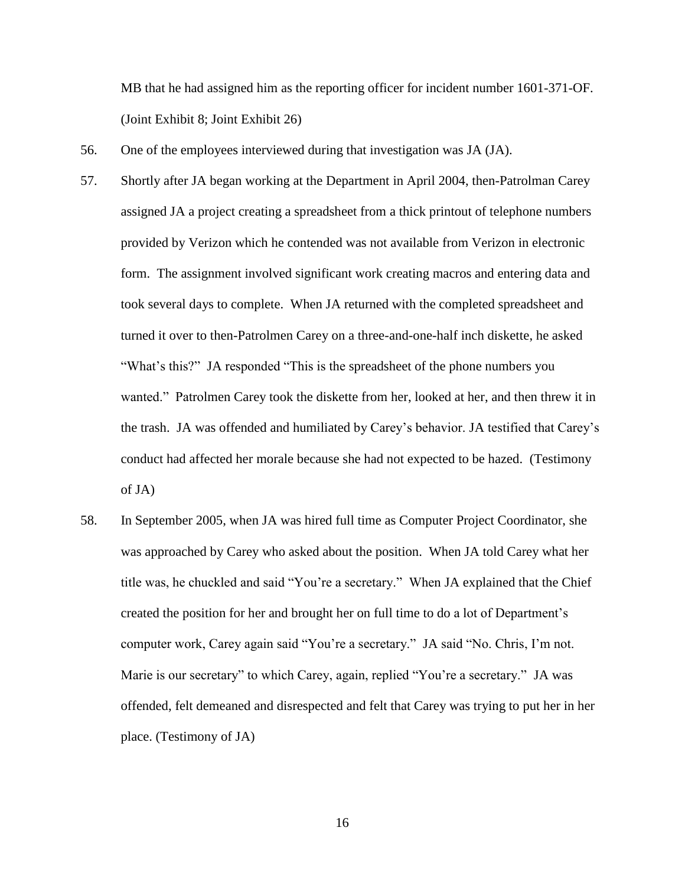MB that he had assigned him as the reporting officer for incident number 1601-371-OF. (Joint Exhibit 8; Joint Exhibit 26)

- 56. One of the employees interviewed during that investigation was JA (JA).
- 57. Shortly after JA began working at the Department in April 2004, then-Patrolman Carey assigned JA a project creating a spreadsheet from a thick printout of telephone numbers provided by Verizon which he contended was not available from Verizon in electronic form. The assignment involved significant work creating macros and entering data and took several days to complete. When JA returned with the completed spreadsheet and turned it over to then-Patrolmen Carey on a three-and-one-half inch diskette, he asked "What's this?" JA responded "This is the spreadsheet of the phone numbers you wanted." Patrolmen Carey took the diskette from her, looked at her, and then threw it in the trash. JA was offended and humiliated by Carey's behavior. JA testified that Carey's conduct had affected her morale because she had not expected to be hazed. (Testimony of JA)
- 58. In September 2005, when JA was hired full time as Computer Project Coordinator, she was approached by Carey who asked about the position. When JA told Carey what her title was, he chuckled and said "You're a secretary." When JA explained that the Chief created the position for her and brought her on full time to do a lot of Department's computer work, Carey again said "You're a secretary." JA said "No. Chris, I'm not. Marie is our secretary" to which Carey, again, replied "You're a secretary." JA was offended, felt demeaned and disrespected and felt that Carey was trying to put her in her place. (Testimony of JA)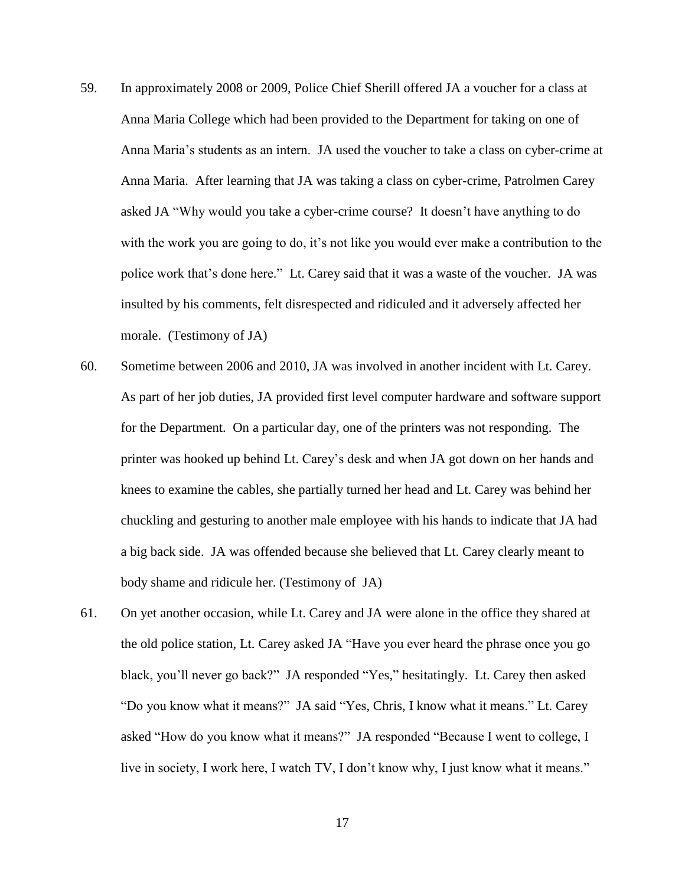- 59. In approximately 2008 or 2009, Police Chief Sherill offered JA a voucher for a class at Anna Maria College which had been provided to the Department for taking on one of Anna Maria's students as an intern. JA used the voucher to take a class on cyber-crime at Anna Maria. After learning that JA was taking a class on cyber-crime, Patrolmen Carey asked JA "Why would you take a cyber-crime course? It doesn't have anything to do with the work you are going to do, it's not like you would ever make a contribution to the police work that's done here." Lt. Carey said that it was a waste of the voucher. JA was insulted by his comments, felt disrespected and ridiculed and it adversely affected her morale. (Testimony of JA)
- 60. Sometime between 2006 and 2010, JA was involved in another incident with Lt. Carey. As part of her job duties, JA provided first level computer hardware and software support for the Department. On a particular day, one of the printers was not responding. The printer was hooked up behind Lt. Carey's desk and when JA got down on her hands and knees to examine the cables, she partially turned her head and Lt. Carey was behind her chuckling and gesturing to another male employee with his hands to indicate that JA had a big back side. JA was offended because she believed that Lt. Carey clearly meant to body shame and ridicule her. (Testimony of JA)
- 61. On yet another occasion, while Lt. Carey and JA were alone in the office they shared at the old police station, Lt. Carey asked JA "Have you ever heard the phrase once you go black, you'll never go back?" JA responded "Yes," hesitatingly. Lt. Carey then asked "Do you know what it means?" JA said "Yes, Chris, I know what it means." Lt. Carey asked "How do you know what it means?" JA responded "Because I went to college, I live in society, I work here, I watch TV, I don't know why, I just know what it means."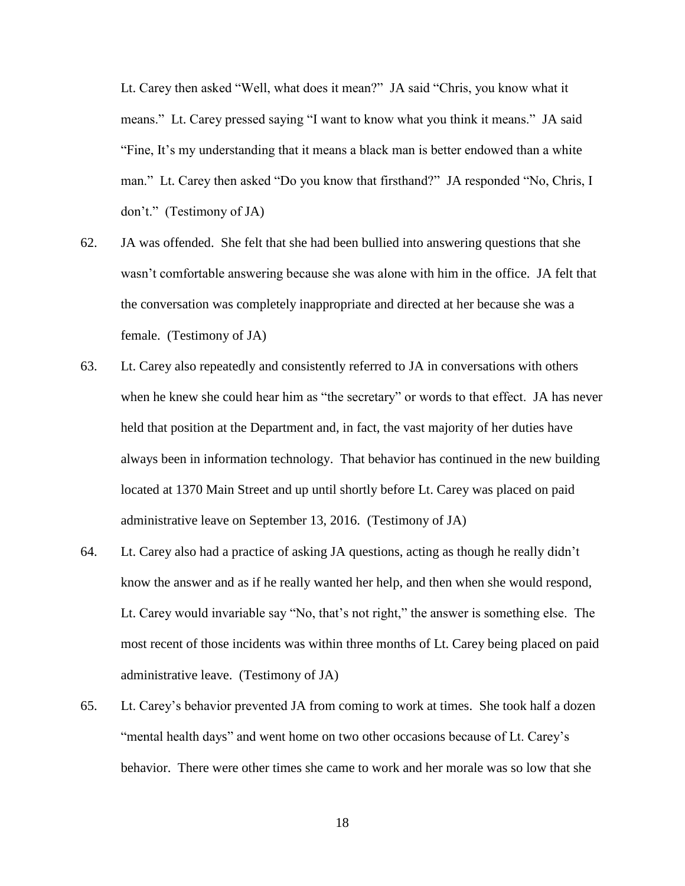Lt. Carey then asked "Well, what does it mean?" JA said "Chris, you know what it means." Lt. Carey pressed saying "I want to know what you think it means." JA said "Fine, It's my understanding that it means a black man is better endowed than a white man." Lt. Carey then asked "Do you know that firsthand?" JA responded "No, Chris, I don't." (Testimony of JA)

- 62. JA was offended. She felt that she had been bullied into answering questions that she wasn't comfortable answering because she was alone with him in the office. JA felt that the conversation was completely inappropriate and directed at her because she was a female. (Testimony of JA)
- 63. Lt. Carey also repeatedly and consistently referred to JA in conversations with others when he knew she could hear him as "the secretary" or words to that effect. JA has never held that position at the Department and, in fact, the vast majority of her duties have always been in information technology. That behavior has continued in the new building located at 1370 Main Street and up until shortly before Lt. Carey was placed on paid administrative leave on September 13, 2016. (Testimony of JA)
- 64. Lt. Carey also had a practice of asking JA questions, acting as though he really didn't know the answer and as if he really wanted her help, and then when she would respond, Lt. Carey would invariable say "No, that's not right," the answer is something else. The most recent of those incidents was within three months of Lt. Carey being placed on paid administrative leave. (Testimony of JA)
- 65. Lt. Carey's behavior prevented JA from coming to work at times. She took half a dozen "mental health days" and went home on two other occasions because of Lt. Carey's behavior. There were other times she came to work and her morale was so low that she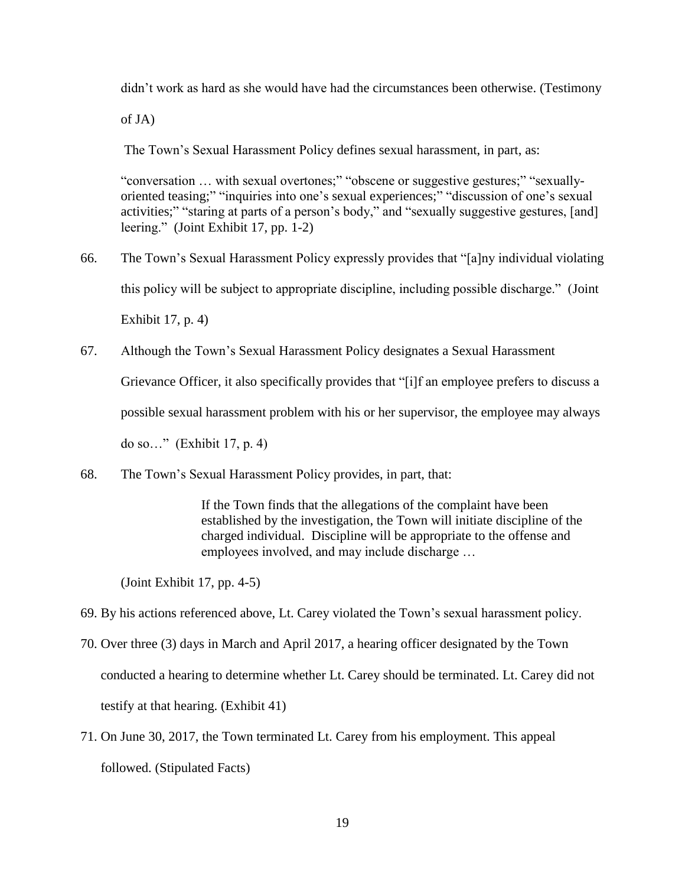didn't work as hard as she would have had the circumstances been otherwise. (Testimony

of JA)

The Town's Sexual Harassment Policy defines sexual harassment, in part, as:

"conversation … with sexual overtones;" "obscene or suggestive gestures;" "sexuallyoriented teasing;" "inquiries into one's sexual experiences;" "discussion of one's sexual activities;" "staring at parts of a person's body," and "sexually suggestive gestures, [and] leering." (Joint Exhibit 17, pp. 1-2)

- 66. The Town's Sexual Harassment Policy expressly provides that "[a]ny individual violating this policy will be subject to appropriate discipline, including possible discharge." (Joint Exhibit 17, p. 4)
- 67. Although the Town's Sexual Harassment Policy designates a Sexual Harassment

Grievance Officer, it also specifically provides that "[i]f an employee prefers to discuss a

possible sexual harassment problem with his or her supervisor, the employee may always

do so…" (Exhibit 17, p. 4)

68. The Town's Sexual Harassment Policy provides, in part, that:

If the Town finds that the allegations of the complaint have been established by the investigation, the Town will initiate discipline of the charged individual. Discipline will be appropriate to the offense and employees involved, and may include discharge …

(Joint Exhibit 17, pp. 4-5)

- 69. By his actions referenced above, Lt. Carey violated the Town's sexual harassment policy.
- 70. Over three (3) days in March and April 2017, a hearing officer designated by the Town conducted a hearing to determine whether Lt. Carey should be terminated. Lt. Carey did not testify at that hearing. (Exhibit 41)
- 71. On June 30, 2017, the Town terminated Lt. Carey from his employment. This appeal followed. (Stipulated Facts)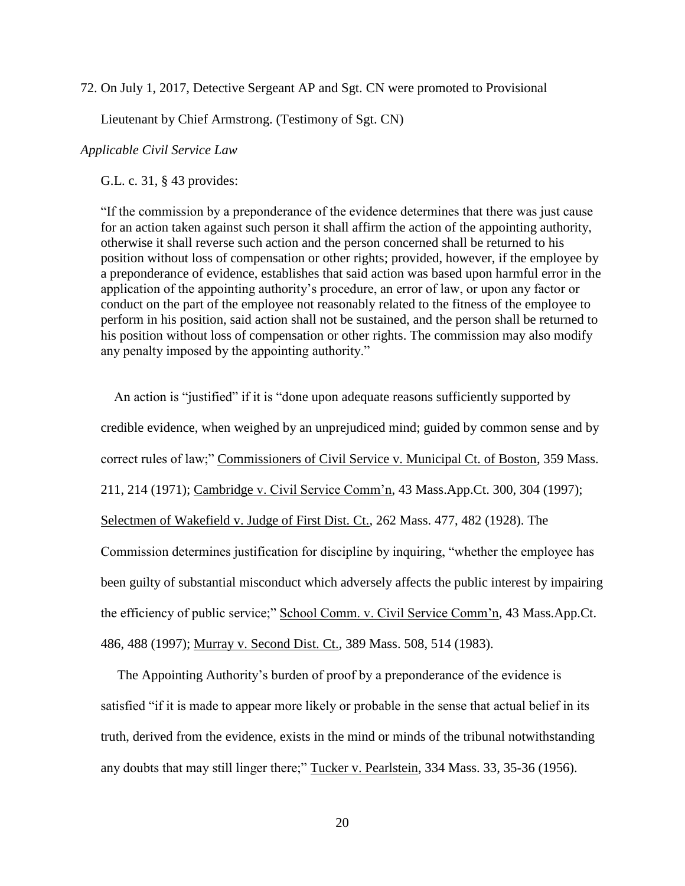72. On July 1, 2017, Detective Sergeant AP and Sgt. CN were promoted to Provisional

Lieutenant by Chief Armstrong. (Testimony of Sgt. CN)

### *Applicable Civil Service Law*

G.L. c. 31, § 43 provides:

"If the commission by a preponderance of the evidence determines that there was just cause for an action taken against such person it shall affirm the action of the appointing authority, otherwise it shall reverse such action and the person concerned shall be returned to his position without loss of compensation or other rights; provided, however, if the employee by a preponderance of evidence, establishes that said action was based upon harmful error in the application of the appointing authority's procedure, an error of law, or upon any factor or conduct on the part of the employee not reasonably related to the fitness of the employee to perform in his position, said action shall not be sustained, and the person shall be returned to his position without loss of compensation or other rights. The commission may also modify any penalty imposed by the appointing authority."

 An action is "justified" if it is "done upon adequate reasons sufficiently supported by credible evidence, when weighed by an unprejudiced mind; guided by common sense and by correct rules of law;" Commissioners of Civil Service v. Municipal Ct. of Boston, 359 Mass. 211, 214 (1971); Cambridge v. Civil Service Comm'n, 43 Mass.App.Ct. 300, 304 (1997); Selectmen of Wakefield v. Judge of First Dist. Ct., 262 Mass. 477, 482 (1928). The Commission determines justification for discipline by inquiring, "whether the employee has been guilty of substantial misconduct which adversely affects the public interest by impairing the efficiency of public service;" School Comm. v. Civil Service Comm'n, 43 Mass.App.Ct. 486, 488 (1997); Murray v. Second Dist. Ct., 389 Mass. 508, 514 (1983).

 The Appointing Authority's burden of proof by a preponderance of the evidence is satisfied "if it is made to appear more likely or probable in the sense that actual belief in its truth, derived from the evidence, exists in the mind or minds of the tribunal notwithstanding any doubts that may still linger there;" Tucker v. Pearlstein, 334 Mass. 33, 35-36 (1956).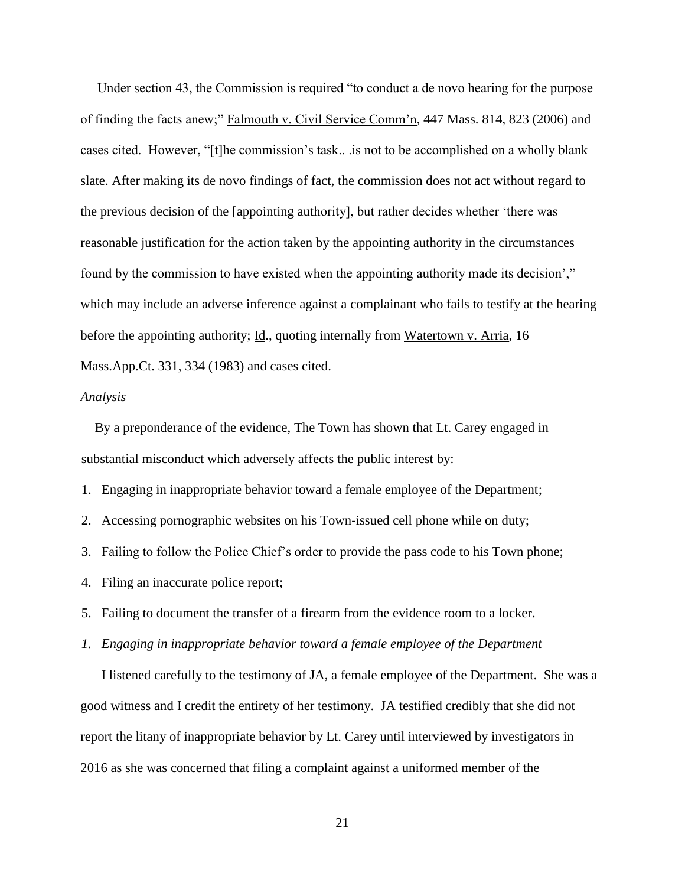Under section 43, the Commission is required "to conduct a de novo hearing for the purpose of finding the facts anew;" Falmouth v. Civil Service Comm'n, 447 Mass. 814, 823 (2006) and cases cited. However, "[t]he commission's task.. .is not to be accomplished on a wholly blank slate. After making its de novo findings of fact, the commission does not act without regard to the previous decision of the [appointing authority], but rather decides whether 'there was reasonable justification for the action taken by the appointing authority in the circumstances found by the commission to have existed when the appointing authority made its decision'," which may include an adverse inference against a complainant who fails to testify at the hearing before the appointing authority; Id., quoting internally from Watertown v. Arria, 16 Mass.App.Ct. 331, 334 (1983) and cases cited.

#### *Analysis*

 By a preponderance of the evidence, The Town has shown that Lt. Carey engaged in substantial misconduct which adversely affects the public interest by:

1. Engaging in inappropriate behavior toward a female employee of the Department;

2. Accessing pornographic websites on his Town-issued cell phone while on duty;

3. Failing to follow the Police Chief's order to provide the pass code to his Town phone;

4. Filing an inaccurate police report;

5. Failing to document the transfer of a firearm from the evidence room to a locker.

#### *1. Engaging in inappropriate behavior toward a female employee of the Department*

I listened carefully to the testimony of JA, a female employee of the Department. She was a good witness and I credit the entirety of her testimony. JA testified credibly that she did not report the litany of inappropriate behavior by Lt. Carey until interviewed by investigators in 2016 as she was concerned that filing a complaint against a uniformed member of the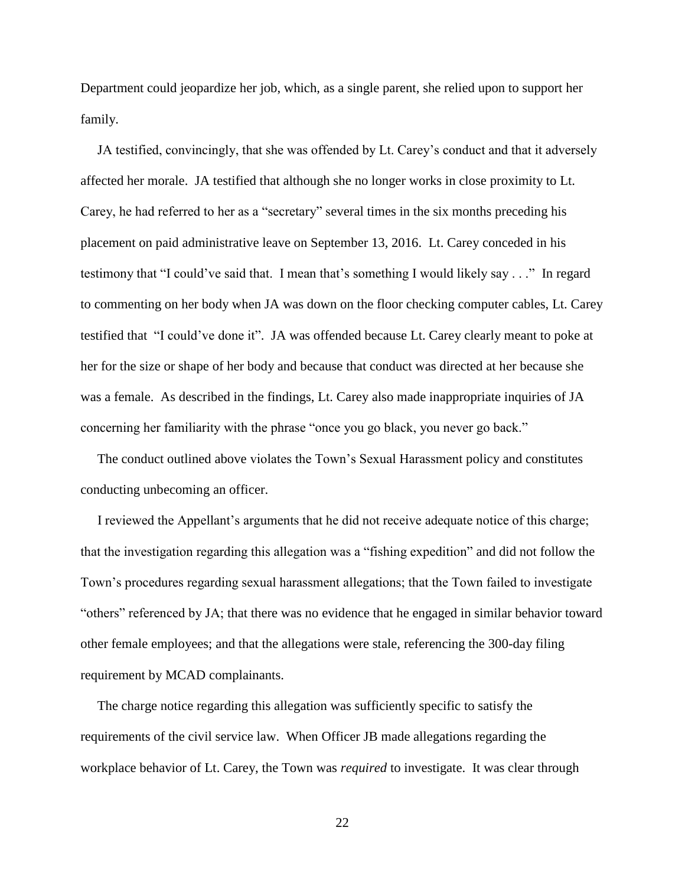Department could jeopardize her job, which, as a single parent, she relied upon to support her family.

 JA testified, convincingly, that she was offended by Lt. Carey's conduct and that it adversely affected her morale. JA testified that although she no longer works in close proximity to Lt. Carey, he had referred to her as a "secretary" several times in the six months preceding his placement on paid administrative leave on September 13, 2016. Lt. Carey conceded in his testimony that "I could've said that. I mean that's something I would likely say . . ." In regard to commenting on her body when JA was down on the floor checking computer cables, Lt. Carey testified that "I could've done it". JA was offended because Lt. Carey clearly meant to poke at her for the size or shape of her body and because that conduct was directed at her because she was a female. As described in the findings, Lt. Carey also made inappropriate inquiries of JA concerning her familiarity with the phrase "once you go black, you never go back."

 The conduct outlined above violates the Town's Sexual Harassment policy and constitutes conducting unbecoming an officer.

 I reviewed the Appellant's arguments that he did not receive adequate notice of this charge; that the investigation regarding this allegation was a "fishing expedition" and did not follow the Town's procedures regarding sexual harassment allegations; that the Town failed to investigate "others" referenced by JA; that there was no evidence that he engaged in similar behavior toward other female employees; and that the allegations were stale, referencing the 300-day filing requirement by MCAD complainants.

 The charge notice regarding this allegation was sufficiently specific to satisfy the requirements of the civil service law. When Officer JB made allegations regarding the workplace behavior of Lt. Carey, the Town was *required* to investigate. It was clear through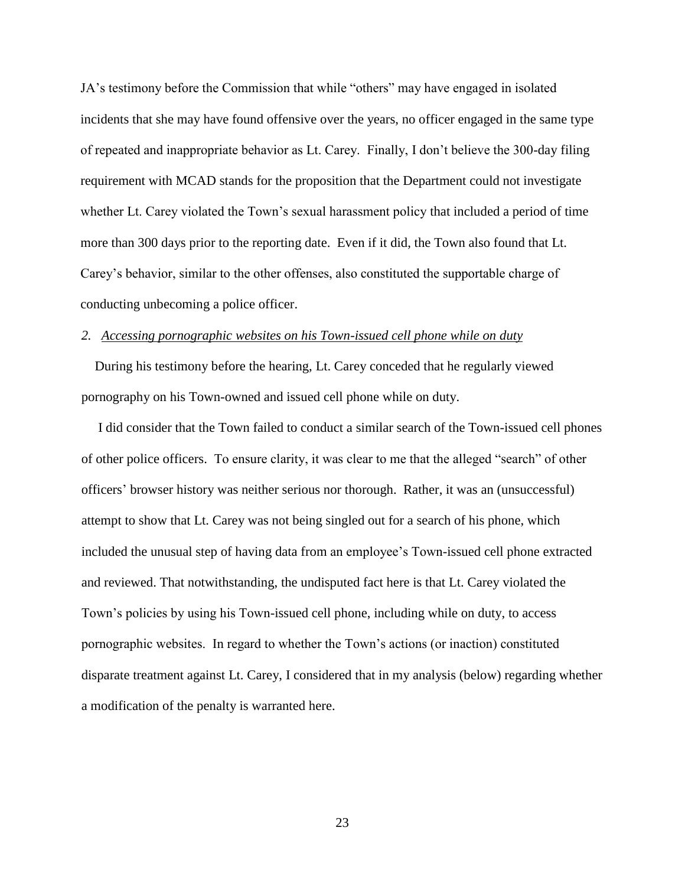JA's testimony before the Commission that while "others" may have engaged in isolated incidents that she may have found offensive over the years, no officer engaged in the same type of repeated and inappropriate behavior as Lt. Carey. Finally, I don't believe the 300-day filing requirement with MCAD stands for the proposition that the Department could not investigate whether Lt. Carey violated the Town's sexual harassment policy that included a period of time more than 300 days prior to the reporting date. Even if it did, the Town also found that Lt. Carey's behavior, similar to the other offenses, also constituted the supportable charge of conducting unbecoming a police officer.

### *2. Accessing pornographic websites on his Town-issued cell phone while on duty*

 During his testimony before the hearing, Lt. Carey conceded that he regularly viewed pornography on his Town-owned and issued cell phone while on duty.

 I did consider that the Town failed to conduct a similar search of the Town-issued cell phones of other police officers. To ensure clarity, it was clear to me that the alleged "search" of other officers' browser history was neither serious nor thorough. Rather, it was an (unsuccessful) attempt to show that Lt. Carey was not being singled out for a search of his phone, which included the unusual step of having data from an employee's Town-issued cell phone extracted and reviewed. That notwithstanding, the undisputed fact here is that Lt. Carey violated the Town's policies by using his Town-issued cell phone, including while on duty, to access pornographic websites. In regard to whether the Town's actions (or inaction) constituted disparate treatment against Lt. Carey, I considered that in my analysis (below) regarding whether a modification of the penalty is warranted here.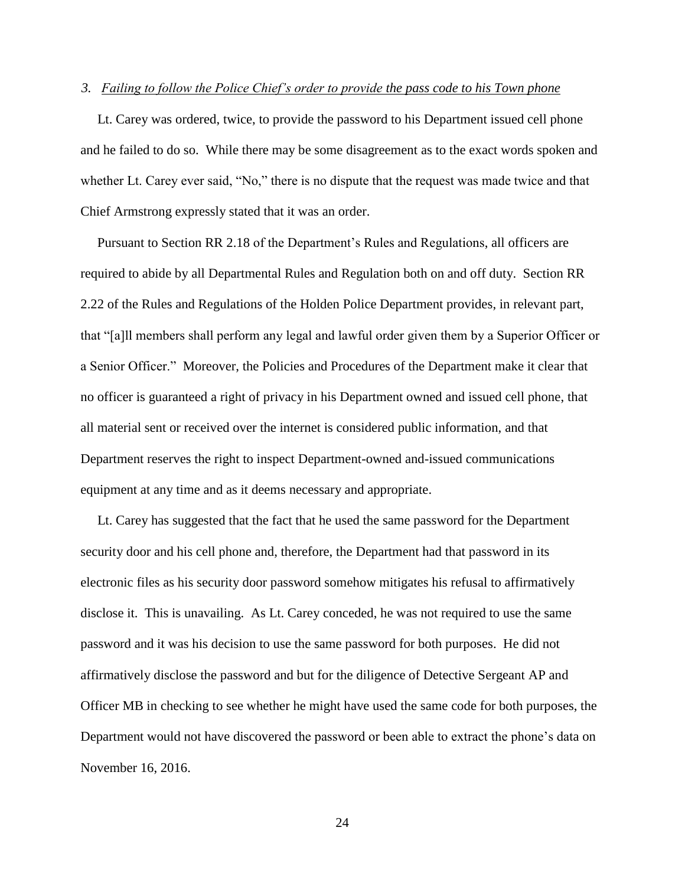#### *3. Failing to follow the Police Chief's order to provide the pass code to his Town phone*

 Lt. Carey was ordered, twice, to provide the password to his Department issued cell phone and he failed to do so. While there may be some disagreement as to the exact words spoken and whether Lt. Carey ever said, "No," there is no dispute that the request was made twice and that Chief Armstrong expressly stated that it was an order.

 Pursuant to Section RR 2.18 of the Department's Rules and Regulations, all officers are required to abide by all Departmental Rules and Regulation both on and off duty. Section RR 2.22 of the Rules and Regulations of the Holden Police Department provides, in relevant part, that "[a]ll members shall perform any legal and lawful order given them by a Superior Officer or a Senior Officer." Moreover, the Policies and Procedures of the Department make it clear that no officer is guaranteed a right of privacy in his Department owned and issued cell phone, that all material sent or received over the internet is considered public information, and that Department reserves the right to inspect Department-owned and-issued communications equipment at any time and as it deems necessary and appropriate.

 Lt. Carey has suggested that the fact that he used the same password for the Department security door and his cell phone and, therefore, the Department had that password in its electronic files as his security door password somehow mitigates his refusal to affirmatively disclose it. This is unavailing. As Lt. Carey conceded, he was not required to use the same password and it was his decision to use the same password for both purposes. He did not affirmatively disclose the password and but for the diligence of Detective Sergeant AP and Officer MB in checking to see whether he might have used the same code for both purposes, the Department would not have discovered the password or been able to extract the phone's data on November 16, 2016.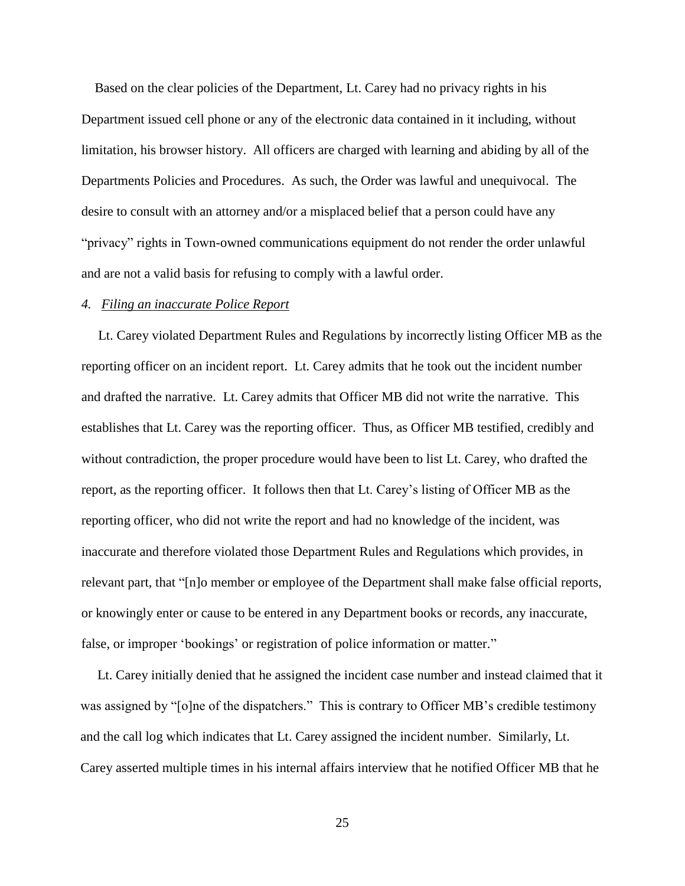Based on the clear policies of the Department, Lt. Carey had no privacy rights in his Department issued cell phone or any of the electronic data contained in it including, without limitation, his browser history. All officers are charged with learning and abiding by all of the Departments Policies and Procedures. As such, the Order was lawful and unequivocal. The desire to consult with an attorney and/or a misplaced belief that a person could have any "privacy" rights in Town-owned communications equipment do not render the order unlawful and are not a valid basis for refusing to comply with a lawful order.

#### *4. Filing an inaccurate Police Report*

 Lt. Carey violated Department Rules and Regulations by incorrectly listing Officer MB as the reporting officer on an incident report. Lt. Carey admits that he took out the incident number and drafted the narrative. Lt. Carey admits that Officer MB did not write the narrative. This establishes that Lt. Carey was the reporting officer. Thus, as Officer MB testified, credibly and without contradiction, the proper procedure would have been to list Lt. Carey, who drafted the report, as the reporting officer. It follows then that Lt. Carey's listing of Officer MB as the reporting officer, who did not write the report and had no knowledge of the incident, was inaccurate and therefore violated those Department Rules and Regulations which provides, in relevant part, that "[n]o member or employee of the Department shall make false official reports, or knowingly enter or cause to be entered in any Department books or records, any inaccurate, false, or improper 'bookings' or registration of police information or matter."

 Lt. Carey initially denied that he assigned the incident case number and instead claimed that it was assigned by "[o]ne of the dispatchers." This is contrary to Officer MB's credible testimony and the call log which indicates that Lt. Carey assigned the incident number. Similarly, Lt. Carey asserted multiple times in his internal affairs interview that he notified Officer MB that he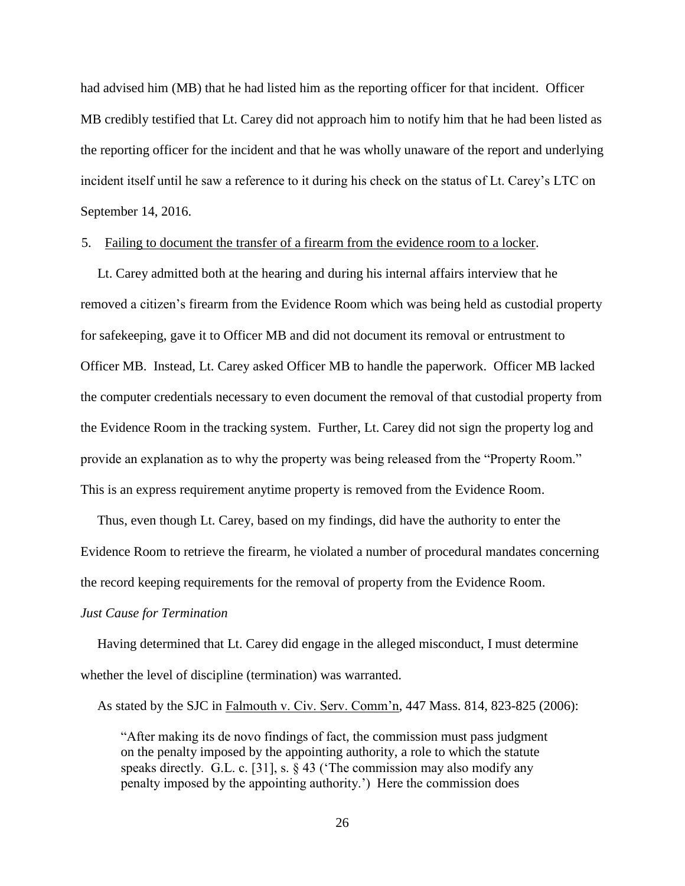had advised him (MB) that he had listed him as the reporting officer for that incident. Officer MB credibly testified that Lt. Carey did not approach him to notify him that he had been listed as the reporting officer for the incident and that he was wholly unaware of the report and underlying incident itself until he saw a reference to it during his check on the status of Lt. Carey's LTC on September 14, 2016.

### 5. Failing to document the transfer of a firearm from the evidence room to a locker.

 Lt. Carey admitted both at the hearing and during his internal affairs interview that he removed a citizen's firearm from the Evidence Room which was being held as custodial property for safekeeping, gave it to Officer MB and did not document its removal or entrustment to Officer MB. Instead, Lt. Carey asked Officer MB to handle the paperwork. Officer MB lacked the computer credentials necessary to even document the removal of that custodial property from the Evidence Room in the tracking system. Further, Lt. Carey did not sign the property log and provide an explanation as to why the property was being released from the "Property Room." This is an express requirement anytime property is removed from the Evidence Room.

 Thus, even though Lt. Carey, based on my findings, did have the authority to enter the Evidence Room to retrieve the firearm, he violated a number of procedural mandates concerning the record keeping requirements for the removal of property from the Evidence Room.

#### *Just Cause for Termination*

 Having determined that Lt. Carey did engage in the alleged misconduct, I must determine whether the level of discipline (termination) was warranted.

As stated by the SJC in Falmouth v. Civ. Serv. Comm'n, 447 Mass. 814, 823-825 (2006):

 "After making its de novo findings of fact, the commission must pass judgment on the penalty imposed by the appointing authority, a role to which the statute speaks directly. G.L. c. [31], s. § 43 ('The commission may also modify any penalty imposed by the appointing authority.') Here the commission does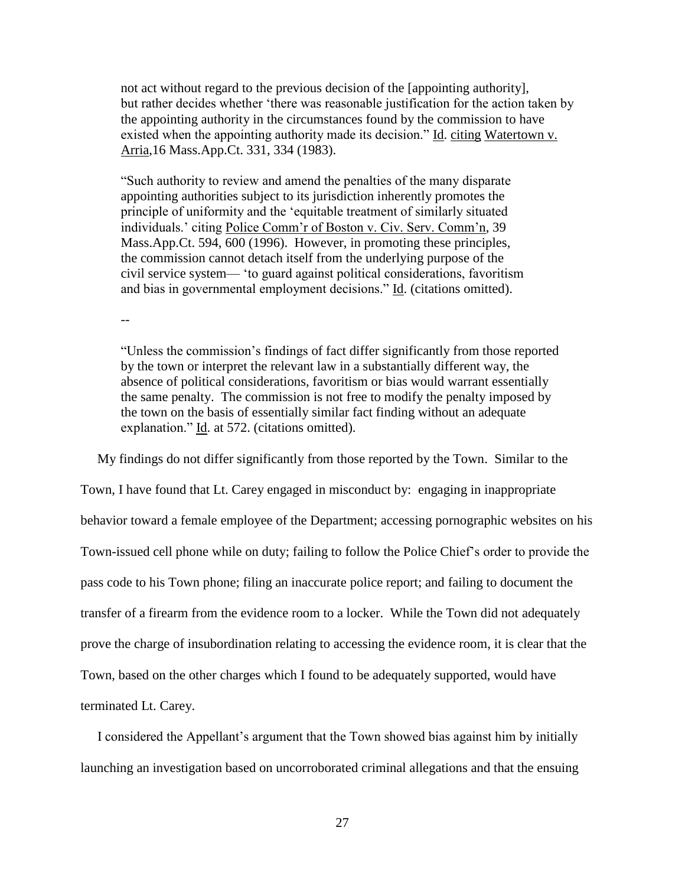not act without regard to the previous decision of the [appointing authority], but rather decides whether 'there was reasonable justification for the action taken by the appointing authority in the circumstances found by the commission to have existed when the appointing authority made its decision." Id. citing Watertown v. Arria,16 Mass.App.Ct. 331, 334 (1983).

"Such authority to review and amend the penalties of the many disparate appointing authorities subject to its jurisdiction inherently promotes the principle of uniformity and the 'equitable treatment of similarly situated individuals.' citing Police Comm'r of Boston v. Civ. Serv. Comm'n, 39 Mass.App.Ct. 594, 600 (1996). However, in promoting these principles, the commission cannot detach itself from the underlying purpose of the civil service system— 'to guard against political considerations, favoritism and bias in governmental employment decisions." Id. (citations omitted).

--

"Unless the commission's findings of fact differ significantly from those reported by the town or interpret the relevant law in a substantially different way, the absence of political considerations, favoritism or bias would warrant essentially the same penalty. The commission is not free to modify the penalty imposed by the town on the basis of essentially similar fact finding without an adequate explanation." Id. at 572. (citations omitted).

 My findings do not differ significantly from those reported by the Town. Similar to the Town, I have found that Lt. Carey engaged in misconduct by: engaging in inappropriate behavior toward a female employee of the Department; accessing pornographic websites on his Town-issued cell phone while on duty; failing to follow the Police Chief's order to provide the pass code to his Town phone; filing an inaccurate police report; and failing to document the transfer of a firearm from the evidence room to a locker. While the Town did not adequately prove the charge of insubordination relating to accessing the evidence room, it is clear that the Town, based on the other charges which I found to be adequately supported, would have terminated Lt. Carey.

 I considered the Appellant's argument that the Town showed bias against him by initially launching an investigation based on uncorroborated criminal allegations and that the ensuing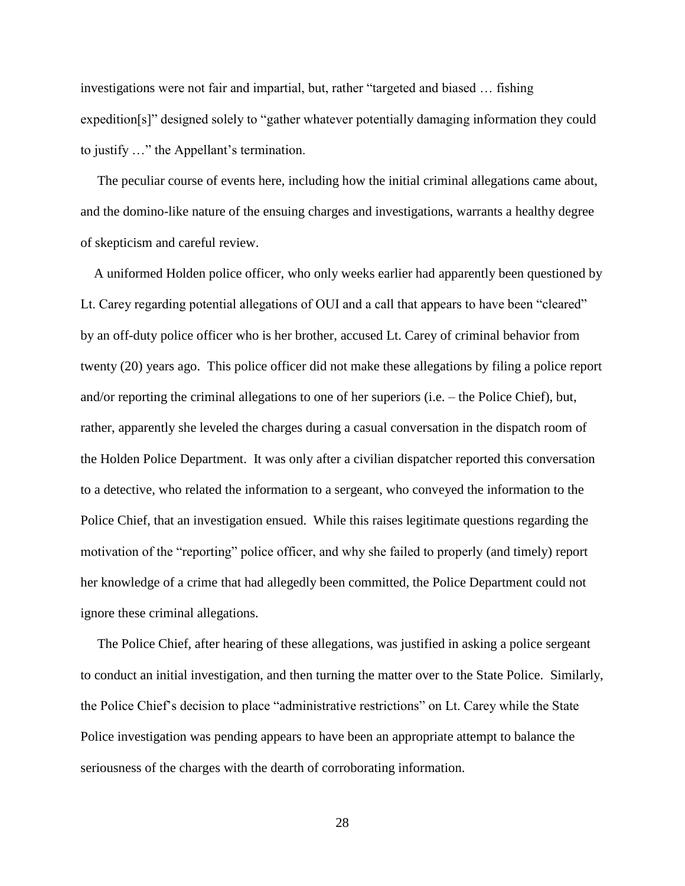investigations were not fair and impartial, but, rather "targeted and biased … fishing expedition[s]" designed solely to "gather whatever potentially damaging information they could to justify …" the Appellant's termination.

 The peculiar course of events here, including how the initial criminal allegations came about, and the domino-like nature of the ensuing charges and investigations, warrants a healthy degree of skepticism and careful review.

 A uniformed Holden police officer, who only weeks earlier had apparently been questioned by Lt. Carey regarding potential allegations of OUI and a call that appears to have been "cleared" by an off-duty police officer who is her brother, accused Lt. Carey of criminal behavior from twenty (20) years ago. This police officer did not make these allegations by filing a police report and/or reporting the criminal allegations to one of her superiors (i.e. – the Police Chief), but, rather, apparently she leveled the charges during a casual conversation in the dispatch room of the Holden Police Department. It was only after a civilian dispatcher reported this conversation to a detective, who related the information to a sergeant, who conveyed the information to the Police Chief, that an investigation ensued. While this raises legitimate questions regarding the motivation of the "reporting" police officer, and why she failed to properly (and timely) report her knowledge of a crime that had allegedly been committed, the Police Department could not ignore these criminal allegations.

 The Police Chief, after hearing of these allegations, was justified in asking a police sergeant to conduct an initial investigation, and then turning the matter over to the State Police. Similarly, the Police Chief's decision to place "administrative restrictions" on Lt. Carey while the State Police investigation was pending appears to have been an appropriate attempt to balance the seriousness of the charges with the dearth of corroborating information.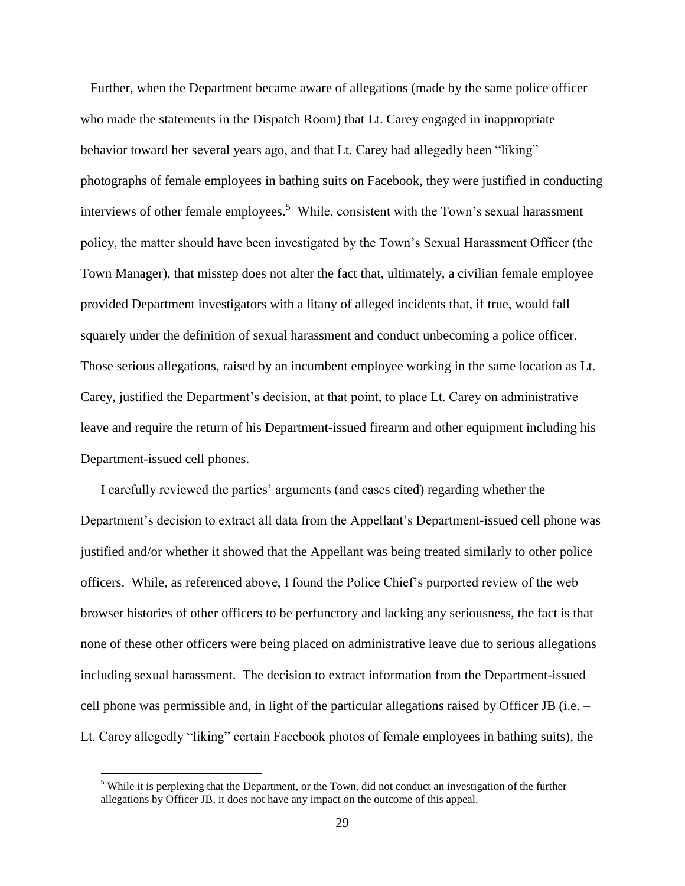Further, when the Department became aware of allegations (made by the same police officer who made the statements in the Dispatch Room) that Lt. Carey engaged in inappropriate behavior toward her several years ago, and that Lt. Carey had allegedly been "liking" photographs of female employees in bathing suits on Facebook, they were justified in conducting interviews of other female employees.<sup>5</sup> While, consistent with the Town's sexual harassment policy, the matter should have been investigated by the Town's Sexual Harassment Officer (the Town Manager), that misstep does not alter the fact that, ultimately, a civilian female employee provided Department investigators with a litany of alleged incidents that, if true, would fall squarely under the definition of sexual harassment and conduct unbecoming a police officer. Those serious allegations, raised by an incumbent employee working in the same location as Lt. Carey, justified the Department's decision, at that point, to place Lt. Carey on administrative leave and require the return of his Department-issued firearm and other equipment including his Department-issued cell phones.

 I carefully reviewed the parties' arguments (and cases cited) regarding whether the Department's decision to extract all data from the Appellant's Department-issued cell phone was justified and/or whether it showed that the Appellant was being treated similarly to other police officers. While, as referenced above, I found the Police Chief's purported review of the web browser histories of other officers to be perfunctory and lacking any seriousness, the fact is that none of these other officers were being placed on administrative leave due to serious allegations including sexual harassment. The decision to extract information from the Department-issued cell phone was permissible and, in light of the particular allegations raised by Officer JB (i.e. – Lt. Carey allegedly "liking" certain Facebook photos of female employees in bathing suits), the

 $\overline{a}$ 

<sup>&</sup>lt;sup>5</sup> While it is perplexing that the Department, or the Town, did not conduct an investigation of the further allegations by Officer JB, it does not have any impact on the outcome of this appeal.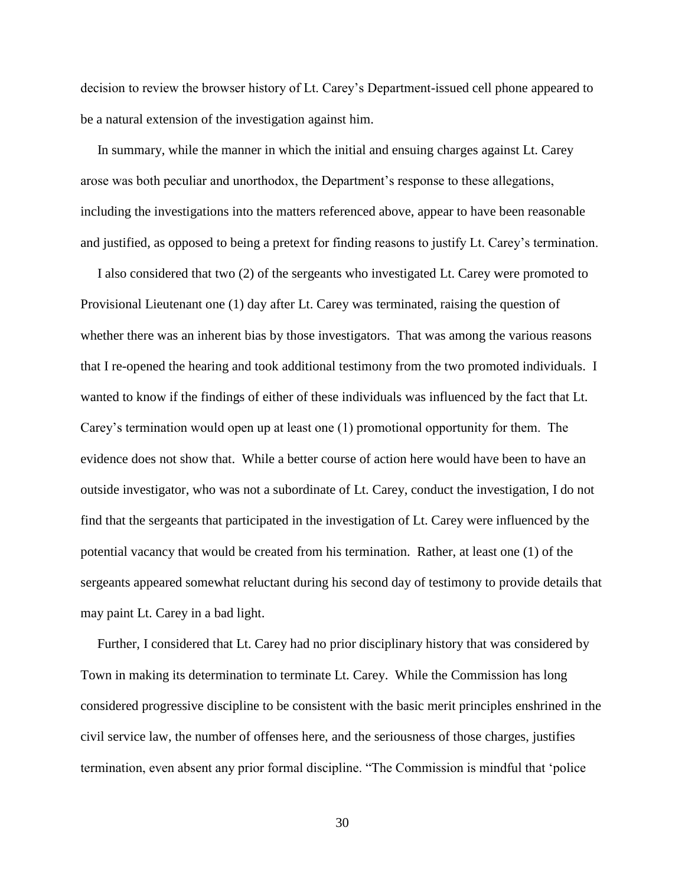decision to review the browser history of Lt. Carey's Department-issued cell phone appeared to be a natural extension of the investigation against him.

 In summary, while the manner in which the initial and ensuing charges against Lt. Carey arose was both peculiar and unorthodox, the Department's response to these allegations, including the investigations into the matters referenced above, appear to have been reasonable and justified, as opposed to being a pretext for finding reasons to justify Lt. Carey's termination.

 I also considered that two (2) of the sergeants who investigated Lt. Carey were promoted to Provisional Lieutenant one (1) day after Lt. Carey was terminated, raising the question of whether there was an inherent bias by those investigators. That was among the various reasons that I re-opened the hearing and took additional testimony from the two promoted individuals. I wanted to know if the findings of either of these individuals was influenced by the fact that Lt. Carey's termination would open up at least one (1) promotional opportunity for them. The evidence does not show that. While a better course of action here would have been to have an outside investigator, who was not a subordinate of Lt. Carey, conduct the investigation, I do not find that the sergeants that participated in the investigation of Lt. Carey were influenced by the potential vacancy that would be created from his termination. Rather, at least one (1) of the sergeants appeared somewhat reluctant during his second day of testimony to provide details that may paint Lt. Carey in a bad light.

 Further, I considered that Lt. Carey had no prior disciplinary history that was considered by Town in making its determination to terminate Lt. Carey. While the Commission has long considered progressive discipline to be consistent with the basic merit principles enshrined in the civil service law, the number of offenses here, and the seriousness of those charges, justifies termination, even absent any prior formal discipline. "The Commission is mindful that 'police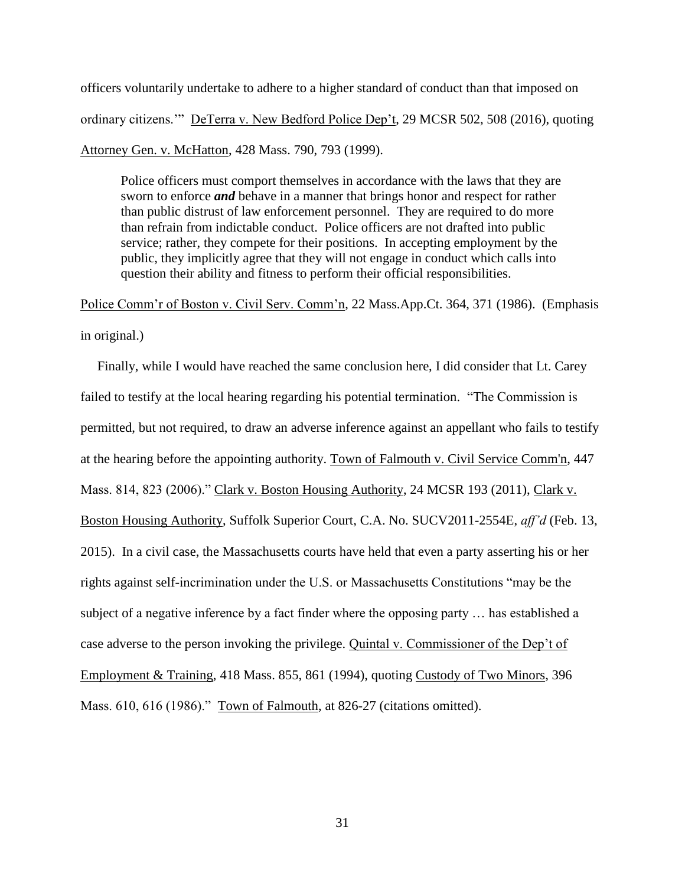officers voluntarily undertake to adhere to a higher standard of conduct than that imposed on ordinary citizens.'" DeTerra v. New Bedford Police Dep't, 29 MCSR 502, 508 (2016), quoting Attorney Gen. v. McHatton, 428 Mass. 790, 793 (1999).

Police officers must comport themselves in accordance with the laws that they are sworn to enforce *and* behave in a manner that brings honor and respect for rather than public distrust of law enforcement personnel. They are required to do more than refrain from indictable conduct. Police officers are not drafted into public service; rather, they compete for their positions. In accepting employment by the public, they implicitly agree that they will not engage in conduct which calls into question their ability and fitness to perform their official responsibilities.

Police Comm'r of Boston v. Civil Serv. Comm'n, 22 Mass.App.Ct. 364, 371 (1986). (Emphasis in original.)

 Finally, while I would have reached the same conclusion here, I did consider that Lt. Carey failed to testify at the local hearing regarding his potential termination. "The Commission is permitted, but not required, to draw an adverse inference against an appellant who fails to testify at the hearing before the appointing authority. Town of Falmouth v. Civil Service Comm'n, 447 Mass. 814, 823 (2006)." Clark v. Boston Housing Authority, 24 MCSR 193 (2011), Clark v. Boston Housing Authority, Suffolk Superior Court, C.A. No. SUCV2011-2554E, *aff'd* (Feb. 13, 2015). In a civil case, the Massachusetts courts have held that even a party asserting his or her rights against self-incrimination under the U.S. or Massachusetts Constitutions "may be the subject of a negative inference by a fact finder where the opposing party … has established a case adverse to the person invoking the privilege. Quintal v. Commissioner of the Dep't of Employment & Training, 418 Mass. 855, 861 (1994), quoting Custody of Two Minors, 396 Mass. 610, 616 (1986)." Town of Falmouth, at 826-27 (citations omitted).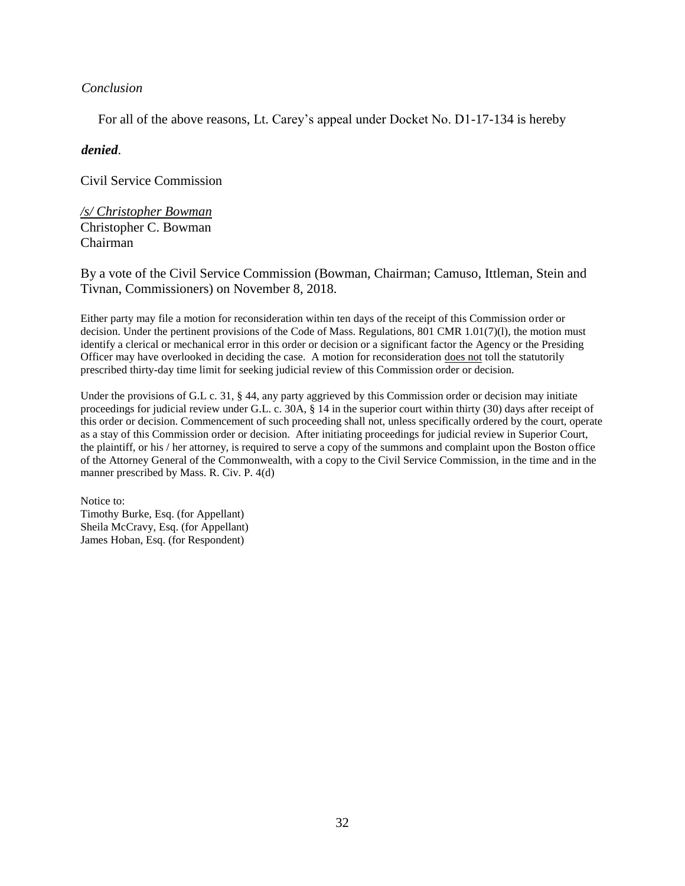### *Conclusion*

For all of the above reasons, Lt. Carey's appeal under Docket No. D1-17-134 is hereby

### *denied*.

Civil Service Commission

*/s/ Christopher Bowman* Christopher C. Bowman Chairman

By a vote of the Civil Service Commission (Bowman, Chairman; Camuso, Ittleman, Stein and Tivnan, Commissioners) on November 8, 2018.

Either party may file a motion for reconsideration within ten days of the receipt of this Commission order or decision. Under the pertinent provisions of the Code of Mass. Regulations, 801 CMR 1.01(7)(l), the motion must identify a clerical or mechanical error in this order or decision or a significant factor the Agency or the Presiding Officer may have overlooked in deciding the case. A motion for reconsideration does not toll the statutorily prescribed thirty-day time limit for seeking judicial review of this Commission order or decision.

Under the provisions of G.L c. 31, § 44, any party aggrieved by this Commission order or decision may initiate proceedings for judicial review under G.L. c. 30A, § 14 in the superior court within thirty (30) days after receipt of this order or decision. Commencement of such proceeding shall not, unless specifically ordered by the court, operate as a stay of this Commission order or decision. After initiating proceedings for judicial review in Superior Court, the plaintiff, or his / her attorney, is required to serve a copy of the summons and complaint upon the Boston office of the Attorney General of the Commonwealth, with a copy to the Civil Service Commission, in the time and in the manner prescribed by Mass. R. Civ. P. 4(d)

Notice to: Timothy Burke, Esq. (for Appellant) Sheila McCravy, Esq. (for Appellant) James Hoban, Esq. (for Respondent)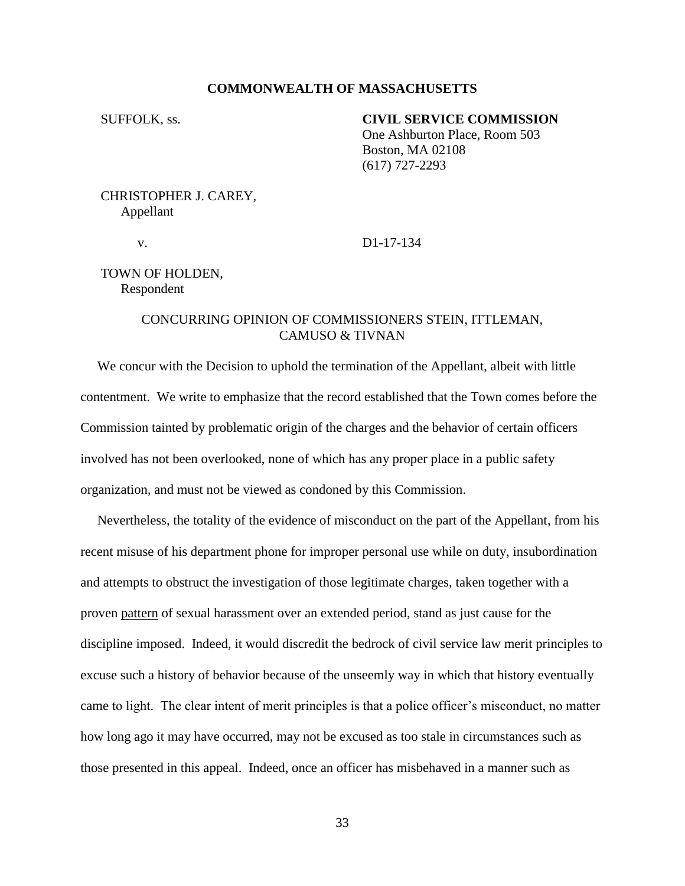### **COMMONWEALTH OF MASSACHUSETTS**

### SUFFOLK, ss. **CIVIL SERVICE COMMISSION**

One Ashburton Place, Room 503 Boston, MA 02108 (617) 727-2293

# CHRISTOPHER J. CAREY, Appellant

v. D1-17-134

## TOWN OF HOLDEN, Respondent

## CONCURRING OPINION OF COMMISSIONERS STEIN, ITTLEMAN, CAMUSO & TIVNAN

 We concur with the Decision to uphold the termination of the Appellant, albeit with little contentment. We write to emphasize that the record established that the Town comes before the Commission tainted by problematic origin of the charges and the behavior of certain officers involved has not been overlooked, none of which has any proper place in a public safety organization, and must not be viewed as condoned by this Commission.

 Nevertheless, the totality of the evidence of misconduct on the part of the Appellant, from his recent misuse of his department phone for improper personal use while on duty, insubordination and attempts to obstruct the investigation of those legitimate charges, taken together with a proven pattern of sexual harassment over an extended period, stand as just cause for the discipline imposed. Indeed, it would discredit the bedrock of civil service law merit principles to excuse such a history of behavior because of the unseemly way in which that history eventually came to light. The clear intent of merit principles is that a police officer's misconduct, no matter how long ago it may have occurred, may not be excused as too stale in circumstances such as those presented in this appeal. Indeed, once an officer has misbehaved in a manner such as